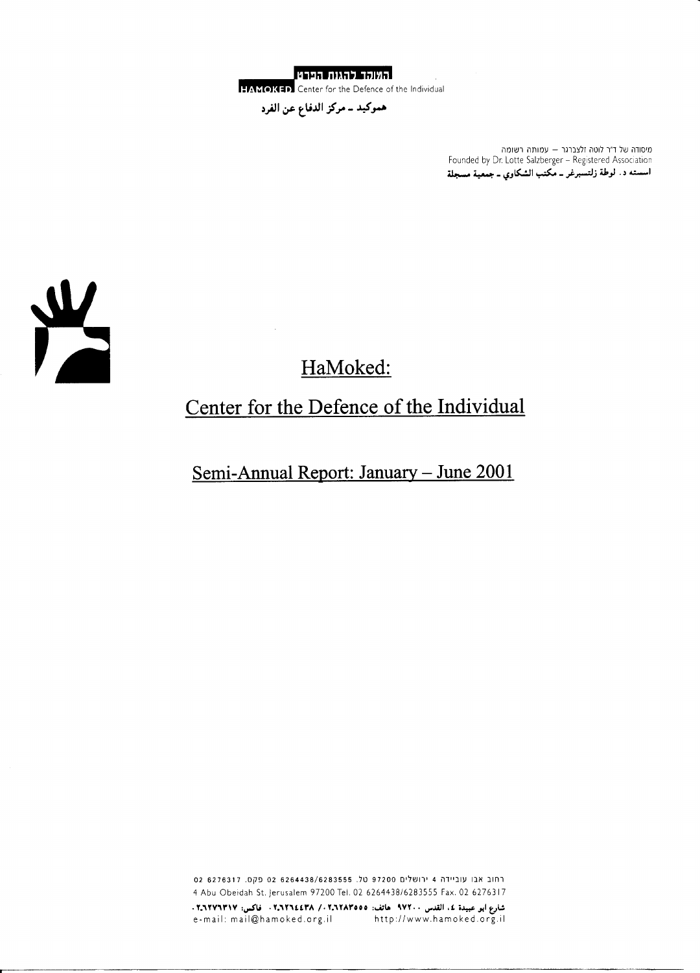<u>האוקר להגנת הפרט </u>

HAMOKED Center for the Defence of the Individual

هموكيد ــ مركز الدفاع عن الفرد

מיסודה של ד״ר לוטה זלצברגר – עמותה רשומה Founded by Dr. Lotte Salzberger - Registered Association اسسته د. لوطة زلتسبرغر ــ مكتب الشكاوي ــ جمعية مسجلة



# HaMoked:

## Center for the Defence of the Individual

Semi-Annual Report: January - June 2001

רחוב אבו עוביידה 4 ירושלים 97200 טל. 6264438/6283555 02 פקס. 6276317 02 4 Abu Obeidah St. Jerusalem 97200 Tel. 02 6264438/6283555 Fax. 02 6276317 شارع ابو عبيدة ٤، القدس ٩٧٢٠٠ عاتف: ٢، ٢، ٢، ٢، ٢، ٢، ٢، ٢، ٣، ٣، قاكس: ٢، ٢٦٢٧٦٣١٧. e-mail: mail@hamoked.org.il http://www.hamoked.org.il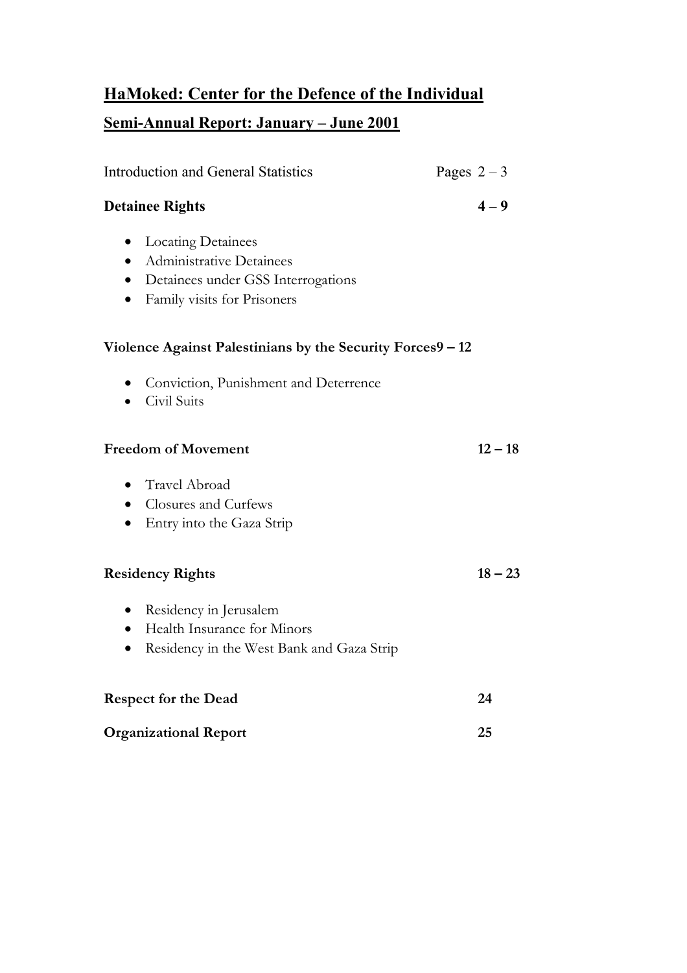## **HaMoked: Center for the Defence of the Individual Semi-Annual Report: January – June 2001**

| <b>Introduction and General Statistics</b>                                                                                                                  | Pages $2-3$ |
|-------------------------------------------------------------------------------------------------------------------------------------------------------------|-------------|
| <b>Detainee Rights</b>                                                                                                                                      | $4 - 9$     |
| <b>Locating Detainees</b><br>$\bullet$<br><b>Administrative Detainees</b><br>Detainees under GSS Interrogations<br>$\bullet$<br>Family visits for Prisoners |             |
| Violence Against Palestinians by the Security Forces9 - 12                                                                                                  |             |
| Conviction, Punishment and Deterrence<br>Civil Suits                                                                                                        |             |
| <b>Freedom of Movement</b>                                                                                                                                  | $12 - 18$   |
| Travel Abroad<br>Closures and Curfews<br>$\bullet$<br>Entry into the Gaza Strip                                                                             |             |
| <b>Residency Rights</b>                                                                                                                                     | $18 - 23$   |
| Residency in Jerusalem<br>$\bullet$<br>Health Insurance for Minors<br>$\bullet$<br>Residency in the West Bank and Gaza Strip                                |             |
| <b>Respect for the Dead</b>                                                                                                                                 | 24          |
| <b>Organizational Report</b>                                                                                                                                | 25          |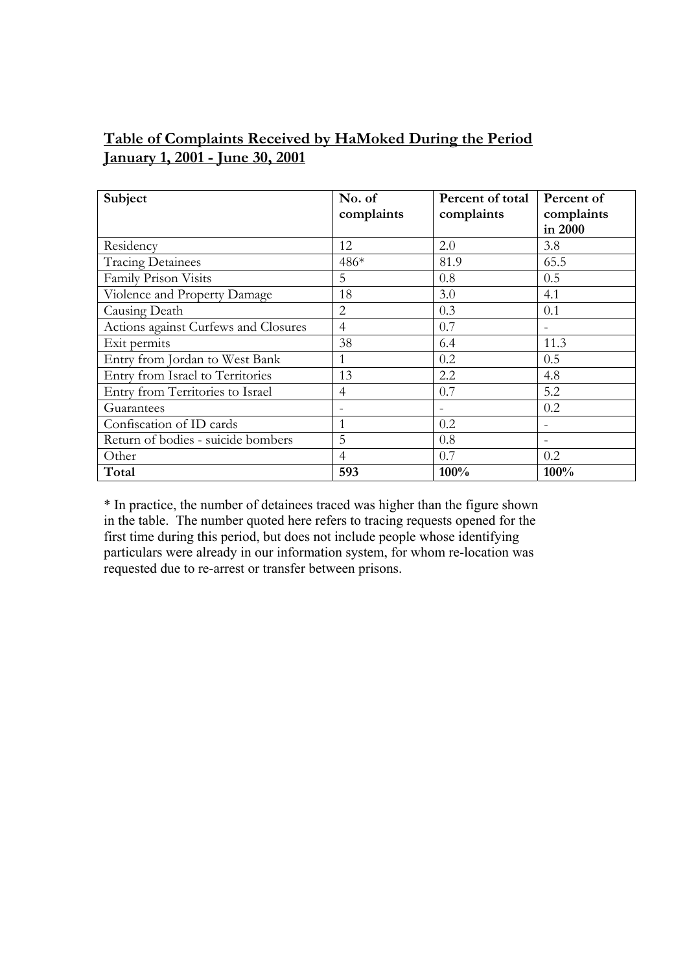### **Table of Complaints Received by HaMoked During the Period January 1, 2001 - June 30, 2001**

| Subject                              | No. of<br>complaints | Percent of total<br>complaints | Percent of<br>complaints<br>in 2000 |
|--------------------------------------|----------------------|--------------------------------|-------------------------------------|
| Residency                            | 12                   | 2.0                            | 3.8                                 |
| <b>Tracing Detainees</b>             | 486*                 | 81.9                           | 65.5                                |
| Family Prison Visits                 | 5                    | 0.8                            | 0.5                                 |
| Violence and Property Damage         | 18                   | 3.0                            | 4.1                                 |
| Causing Death                        | $\overline{2}$       | 0.3                            | 0.1                                 |
| Actions against Curfews and Closures | $\overline{4}$       | 0.7                            |                                     |
| Exit permits                         | 38                   | 6.4                            | 11.3                                |
| Entry from Jordan to West Bank       | 1                    | 0.2                            | 0.5                                 |
| Entry from Israel to Territories     | 13                   | 2.2                            | 4.8                                 |
| Entry from Territories to Israel     | $\overline{4}$       | 0.7                            | 5.2                                 |
| Guarantees                           |                      |                                | 0.2                                 |
| Confiscation of ID cards             | $\mathbf{1}$         | 0.2                            |                                     |
| Return of bodies - suicide bombers   | 5                    | 0.8                            |                                     |
| Other                                | $\overline{4}$       | 0.7                            | 0.2                                 |
| Total                                | 593                  | 100%                           | 100%                                |

\* In practice, the number of detainees traced was higher than the figure shown in the table. The number quoted here refers to tracing requests opened for the first time during this period, but does not include people whose identifying particulars were already in our information system, for whom re-location was requested due to re-arrest or transfer between prisons.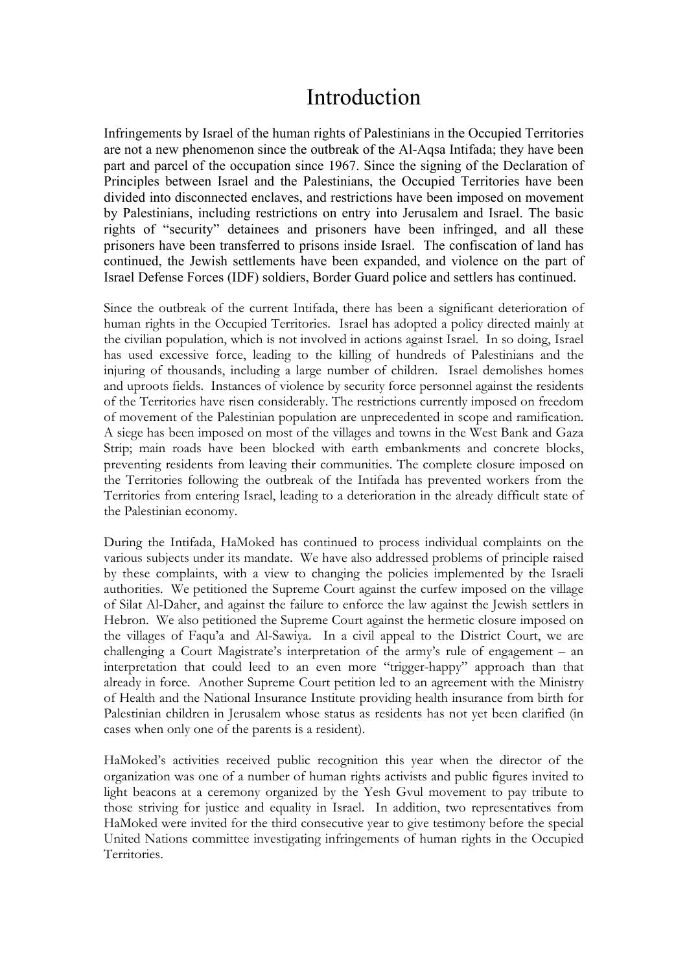## Introduction

Infringements by Israel of the human rights of Palestinians in the Occupied Territories are not a new phenomenon since the outbreak of the Al-Aqsa Intifada; they have been part and parcel of the occupation since 1967. Since the signing of the Declaration of Principles between Israel and the Palestinians, the Occupied Territories have been divided into disconnected enclaves, and restrictions have been imposed on movement by Palestinians, including restrictions on entry into Jerusalem and Israel. The basic rights of "security" detainees and prisoners have been infringed, and all these prisoners have been transferred to prisons inside Israel. The confiscation of land has continued, the Jewish settlements have been expanded, and violence on the part of Israel Defense Forces (IDF) soldiers, Border Guard police and settlers has continued.

Since the outbreak of the current Intifada, there has been a significant deterioration of human rights in the Occupied Territories. Israel has adopted a policy directed mainly at the civilian population, which is not involved in actions against Israel. In so doing, Israel has used excessive force, leading to the killing of hundreds of Palestinians and the injuring of thousands, including a large number of children. Israel demolishes homes and uproots fields. Instances of violence by security force personnel against the residents of the Territories have risen considerably. The restrictions currently imposed on freedom of movement of the Palestinian population are unprecedented in scope and ramification. A siege has been imposed on most of the villages and towns in the West Bank and Gaza Strip; main roads have been blocked with earth embankments and concrete blocks, preventing residents from leaving their communities. The complete closure imposed on the Territories following the outbreak of the Intifada has prevented workers from the Territories from entering Israel, leading to a deterioration in the already difficult state of the Palestinian economy.

During the Intifada, HaMoked has continued to process individual complaints on the various subjects under its mandate. We have also addressed problems of principle raised by these complaints, with a view to changing the policies implemented by the Israeli authorities. We petitioned the Supreme Court against the curfew imposed on the village of Silat Al-Daher, and against the failure to enforce the law against the Jewish settlers in Hebron. We also petitioned the Supreme Court against the hermetic closure imposed on the villages of Faqu'a and Al-Sawiya. In a civil appeal to the District Court, we are challenging a Court Magistrate's interpretation of the army's rule of engagement – an interpretation that could leed to an even more "trigger-happy" approach than that already in force. Another Supreme Court petition led to an agreement with the Ministry of Health and the National Insurance Institute providing health insurance from birth for Palestinian children in Jerusalem whose status as residents has not yet been clarified (in cases when only one of the parents is a resident).

HaMoked's activities received public recognition this year when the director of the organization was one of a number of human rights activists and public figures invited to light beacons at a ceremony organized by the Yesh Gvul movement to pay tribute to those striving for justice and equality in Israel. In addition, two representatives from HaMoked were invited for the third consecutive year to give testimony before the special United Nations committee investigating infringements of human rights in the Occupied Territories.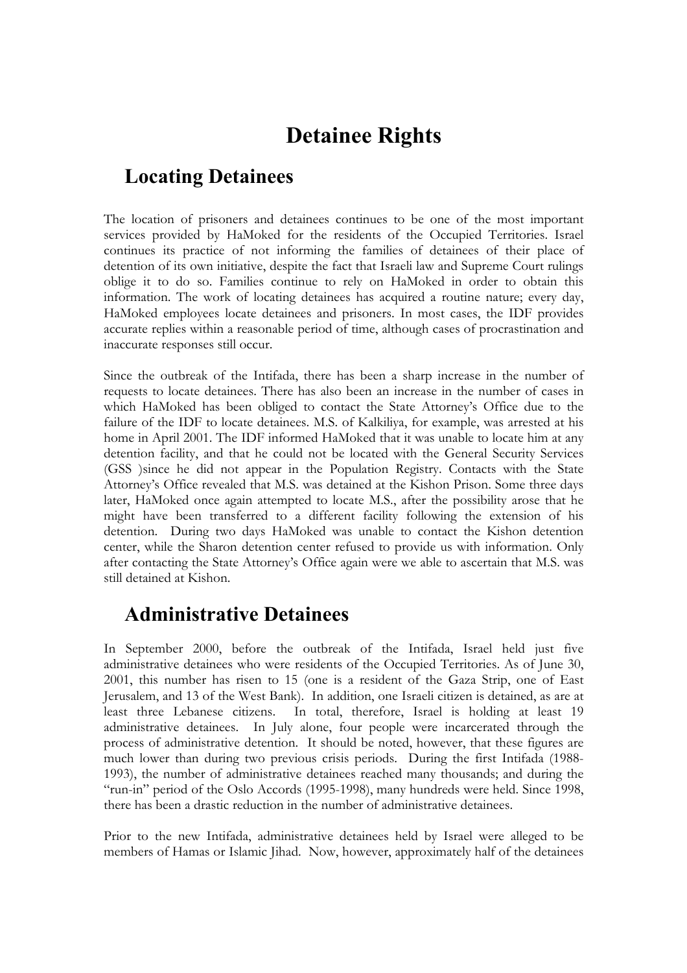## **Detainee Rights**

### **Locating Detainees**

The location of prisoners and detainees continues to be one of the most important services provided by HaMoked for the residents of the Occupied Territories. Israel continues its practice of not informing the families of detainees of their place of detention of its own initiative, despite the fact that Israeli law and Supreme Court rulings oblige it to do so. Families continue to rely on HaMoked in order to obtain this information. The work of locating detainees has acquired a routine nature; every day, HaMoked employees locate detainees and prisoners. In most cases, the IDF provides accurate replies within a reasonable period of time, although cases of procrastination and inaccurate responses still occur.

Since the outbreak of the Intifada, there has been a sharp increase in the number of requests to locate detainees. There has also been an increase in the number of cases in which HaMoked has been obliged to contact the State Attorney's Office due to the failure of the IDF to locate detainees. M.S. of Kalkiliya, for example, was arrested at his home in April 2001. The IDF informed HaMoked that it was unable to locate him at any detention facility, and that he could not be located with the General Security Services (GSS )since he did not appear in the Population Registry. Contacts with the State Attorney's Office revealed that M.S. was detained at the Kishon Prison. Some three days later, HaMoked once again attempted to locate M.S., after the possibility arose that he might have been transferred to a different facility following the extension of his detention. During two days HaMoked was unable to contact the Kishon detention center, while the Sharon detention center refused to provide us with information. Only after contacting the State Attorney's Office again were we able to ascertain that M.S. was still detained at Kishon.

### **Administrative Detainees**

In September 2000, before the outbreak of the Intifada, Israel held just five administrative detainees who were residents of the Occupied Territories. As of June 30, 2001, this number has risen to 15 (one is a resident of the Gaza Strip, one of East Jerusalem, and 13 of the West Bank). In addition, one Israeli citizen is detained, as are at least three Lebanese citizens. In total, therefore, Israel is holding at least 19 administrative detainees. In July alone, four people were incarcerated through the process of administrative detention. It should be noted, however, that these figures are much lower than during two previous crisis periods. During the first Intifada (1988- 1993), the number of administrative detainees reached many thousands; and during the "run-in" period of the Oslo Accords (1995-1998), many hundreds were held. Since 1998, there has been a drastic reduction in the number of administrative detainees.

Prior to the new Intifada, administrative detainees held by Israel were alleged to be members of Hamas or Islamic Jihad. Now, however, approximately half of the detainees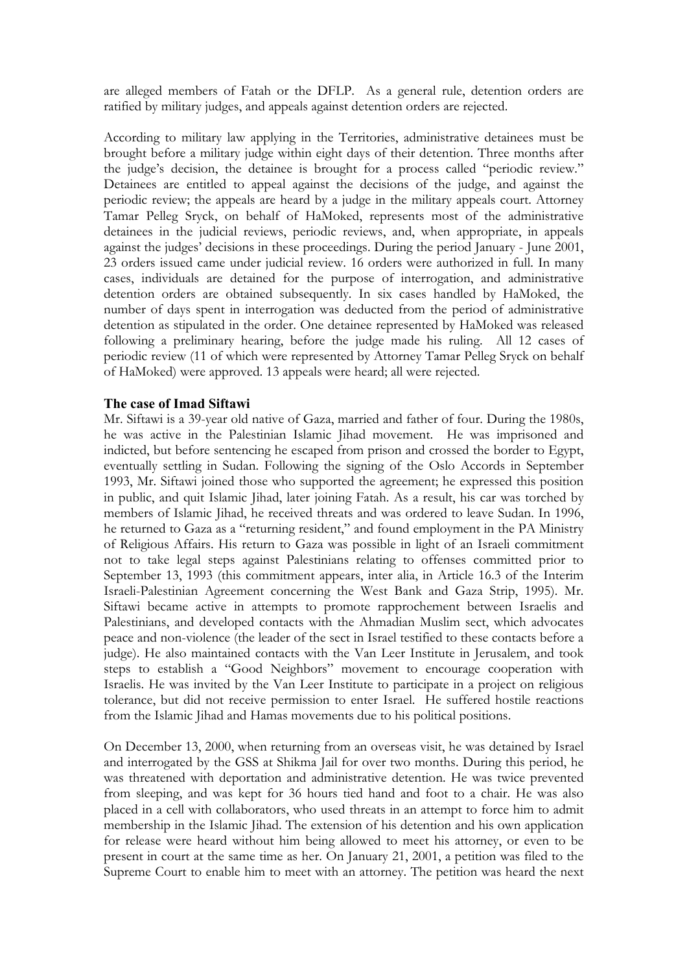are alleged members of Fatah or the DFLP. As a general rule, detention orders are ratified by military judges, and appeals against detention orders are rejected.

According to military law applying in the Territories, administrative detainees must be brought before a military judge within eight days of their detention. Three months after the judge's decision, the detainee is brought for a process called "periodic review." Detainees are entitled to appeal against the decisions of the judge, and against the periodic review; the appeals are heard by a judge in the military appeals court. Attorney Tamar Pelleg Sryck, on behalf of HaMoked, represents most of the administrative detainees in the judicial reviews, periodic reviews, and, when appropriate, in appeals against the judges' decisions in these proceedings. During the period January - June 2001, 23 orders issued came under judicial review. 16 orders were authorized in full. In many cases, individuals are detained for the purpose of interrogation, and administrative detention orders are obtained subsequently. In six cases handled by HaMoked, the number of days spent in interrogation was deducted from the period of administrative detention as stipulated in the order. One detainee represented by HaMoked was released following a preliminary hearing, before the judge made his ruling. All 12 cases of periodic review (11 of which were represented by Attorney Tamar Pelleg Sryck on behalf of HaMoked) were approved. 13 appeals were heard; all were rejected.

#### **The case of Imad Siftawi**

Mr. Siftawi is a 39-year old native of Gaza, married and father of four. During the 1980s, he was active in the Palestinian Islamic Jihad movement. He was imprisoned and indicted, but before sentencing he escaped from prison and crossed the border to Egypt, eventually settling in Sudan. Following the signing of the Oslo Accords in September 1993, Mr. Siftawi joined those who supported the agreement; he expressed this position in public, and quit Islamic Jihad, later joining Fatah. As a result, his car was torched by members of Islamic Jihad, he received threats and was ordered to leave Sudan. In 1996, he returned to Gaza as a "returning resident," and found employment in the PA Ministry of Religious Affairs. His return to Gaza was possible in light of an Israeli commitment not to take legal steps against Palestinians relating to offenses committed prior to September 13, 1993 (this commitment appears, inter alia, in Article 16.3 of the Interim Israeli-Palestinian Agreement concerning the West Bank and Gaza Strip, 1995). Mr. Siftawi became active in attempts to promote rapprochement between Israelis and Palestinians, and developed contacts with the Ahmadian Muslim sect, which advocates peace and non-violence (the leader of the sect in Israel testified to these contacts before a judge). He also maintained contacts with the Van Leer Institute in Jerusalem, and took steps to establish a "Good Neighbors" movement to encourage cooperation with Israelis. He was invited by the Van Leer Institute to participate in a project on religious tolerance, but did not receive permission to enter Israel. He suffered hostile reactions from the Islamic Jihad and Hamas movements due to his political positions.

On December 13, 2000, when returning from an overseas visit, he was detained by Israel and interrogated by the GSS at Shikma Jail for over two months. During this period, he was threatened with deportation and administrative detention. He was twice prevented from sleeping, and was kept for 36 hours tied hand and foot to a chair. He was also placed in a cell with collaborators, who used threats in an attempt to force him to admit membership in the Islamic Jihad. The extension of his detention and his own application for release were heard without him being allowed to meet his attorney, or even to be present in court at the same time as her. On January 21, 2001, a petition was filed to the Supreme Court to enable him to meet with an attorney. The petition was heard the next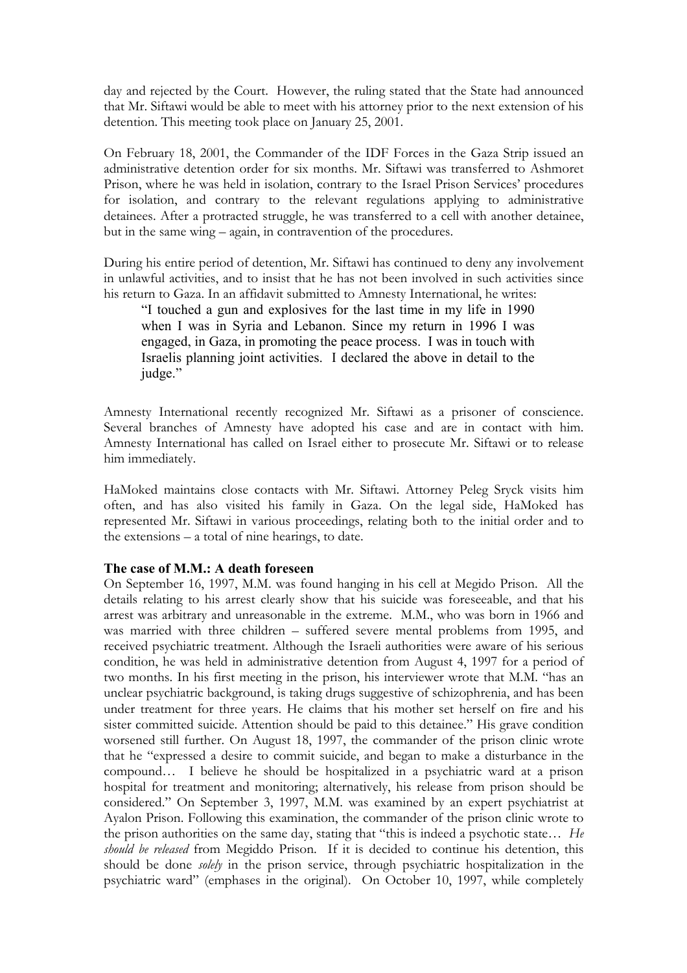day and rejected by the Court. However, the ruling stated that the State had announced that Mr. Siftawi would be able to meet with his attorney prior to the next extension of his detention. This meeting took place on January 25, 2001.

On February 18, 2001, the Commander of the IDF Forces in the Gaza Strip issued an administrative detention order for six months. Mr. Siftawi was transferred to Ashmoret Prison, where he was held in isolation, contrary to the Israel Prison Services' procedures for isolation, and contrary to the relevant regulations applying to administrative detainees. After a protracted struggle, he was transferred to a cell with another detainee, but in the same wing – again, in contravention of the procedures.

During his entire period of detention, Mr. Siftawi has continued to deny any involvement in unlawful activities, and to insist that he has not been involved in such activities since his return to Gaza. In an affidavit submitted to Amnesty International, he writes:

"I touched a gun and explosives for the last time in my life in 1990 when I was in Syria and Lebanon. Since my return in 1996 I was engaged, in Gaza, in promoting the peace process. I was in touch with Israelis planning joint activities. I declared the above in detail to the judge."

Amnesty International recently recognized Mr. Siftawi as a prisoner of conscience. Several branches of Amnesty have adopted his case and are in contact with him. Amnesty International has called on Israel either to prosecute Mr. Siftawi or to release him immediately.

HaMoked maintains close contacts with Mr. Siftawi. Attorney Peleg Sryck visits him often, and has also visited his family in Gaza. On the legal side, HaMoked has represented Mr. Siftawi in various proceedings, relating both to the initial order and to the extensions – a total of nine hearings, to date.

#### **The case of M.M.: A death foreseen**

On September 16, 1997, M.M. was found hanging in his cell at Megido Prison. All the details relating to his arrest clearly show that his suicide was foreseeable, and that his arrest was arbitrary and unreasonable in the extreme. M.M., who was born in 1966 and was married with three children – suffered severe mental problems from 1995, and received psychiatric treatment. Although the Israeli authorities were aware of his serious condition, he was held in administrative detention from August 4, 1997 for a period of two months. In his first meeting in the prison, his interviewer wrote that M.M. "has an unclear psychiatric background, is taking drugs suggestive of schizophrenia, and has been under treatment for three years. He claims that his mother set herself on fire and his sister committed suicide. Attention should be paid to this detainee." His grave condition worsened still further. On August 18, 1997, the commander of the prison clinic wrote that he "expressed a desire to commit suicide, and began to make a disturbance in the compound… I believe he should be hospitalized in a psychiatric ward at a prison hospital for treatment and monitoring; alternatively, his release from prison should be considered." On September 3, 1997, M.M. was examined by an expert psychiatrist at Ayalon Prison. Following this examination, the commander of the prison clinic wrote to the prison authorities on the same day, stating that "this is indeed a psychotic state… *He should be released* from Megiddo Prison. If it is decided to continue his detention, this should be done *solely* in the prison service, through psychiatric hospitalization in the psychiatric ward" (emphases in the original). On October 10, 1997, while completely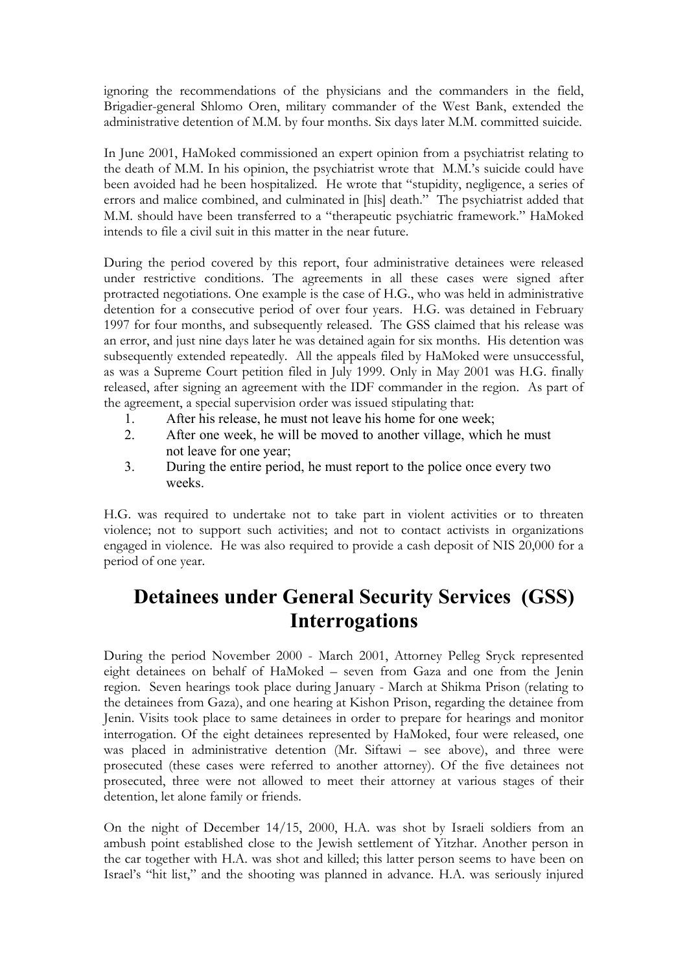ignoring the recommendations of the physicians and the commanders in the field, Brigadier-general Shlomo Oren, military commander of the West Bank, extended the administrative detention of M.M. by four months. Six days later M.M. committed suicide.

In June 2001, HaMoked commissioned an expert opinion from a psychiatrist relating to the death of M.M. In his opinion, the psychiatrist wrote that M.M.'s suicide could have been avoided had he been hospitalized. He wrote that "stupidity, negligence, a series of errors and malice combined, and culminated in [his] death." The psychiatrist added that M.M. should have been transferred to a "therapeutic psychiatric framework." HaMoked intends to file a civil suit in this matter in the near future.

During the period covered by this report, four administrative detainees were released under restrictive conditions. The agreements in all these cases were signed after protracted negotiations. One example is the case of H.G., who was held in administrative detention for a consecutive period of over four years. H.G. was detained in February 1997 for four months, and subsequently released. The GSS claimed that his release was an error, and just nine days later he was detained again for six months. His detention was subsequently extended repeatedly. All the appeals filed by HaMoked were unsuccessful, as was a Supreme Court petition filed in July 1999. Only in May 2001 was H.G. finally released, after signing an agreement with the IDF commander in the region. As part of the agreement, a special supervision order was issued stipulating that:

- 1. After his release, he must not leave his home for one week;
- 2. After one week, he will be moved to another village, which he must not leave for one year;
- 3. During the entire period, he must report to the police once every two weeks.

H.G. was required to undertake not to take part in violent activities or to threaten violence; not to support such activities; and not to contact activists in organizations engaged in violence. He was also required to provide a cash deposit of NIS 20,000 for a period of one year.

## **Detainees under General Security Services (GSS) Interrogations**

During the period November 2000 - March 2001, Attorney Pelleg Sryck represented eight detainees on behalf of HaMoked – seven from Gaza and one from the Jenin region. Seven hearings took place during January - March at Shikma Prison (relating to the detainees from Gaza), and one hearing at Kishon Prison, regarding the detainee from Jenin. Visits took place to same detainees in order to prepare for hearings and monitor interrogation. Of the eight detainees represented by HaMoked, four were released, one was placed in administrative detention (Mr. Siftawi – see above), and three were prosecuted (these cases were referred to another attorney). Of the five detainees not prosecuted, three were not allowed to meet their attorney at various stages of their detention, let alone family or friends.

On the night of December 14/15, 2000, H.A. was shot by Israeli soldiers from an ambush point established close to the Jewish settlement of Yitzhar. Another person in the car together with H.A. was shot and killed; this latter person seems to have been on Israel's "hit list," and the shooting was planned in advance. H.A. was seriously injured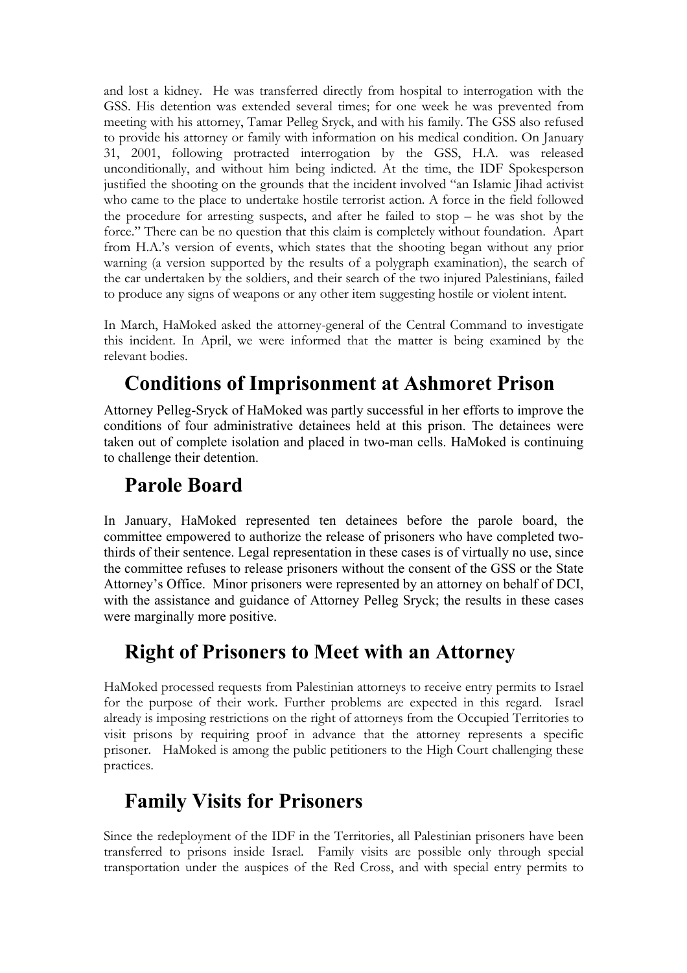and lost a kidney. He was transferred directly from hospital to interrogation with the GSS. His detention was extended several times; for one week he was prevented from meeting with his attorney, Tamar Pelleg Sryck, and with his family. The GSS also refused to provide his attorney or family with information on his medical condition. On January 31, 2001, following protracted interrogation by the GSS, H.A. was released unconditionally, and without him being indicted. At the time, the IDF Spokesperson justified the shooting on the grounds that the incident involved "an Islamic Jihad activist who came to the place to undertake hostile terrorist action. A force in the field followed the procedure for arresting suspects, and after he failed to stop – he was shot by the force." There can be no question that this claim is completely without foundation. Apart from H.A.'s version of events, which states that the shooting began without any prior warning (a version supported by the results of a polygraph examination), the search of the car undertaken by the soldiers, and their search of the two injured Palestinians, failed to produce any signs of weapons or any other item suggesting hostile or violent intent.

In March, HaMoked asked the attorney-general of the Central Command to investigate this incident. In April, we were informed that the matter is being examined by the relevant bodies.

## **Conditions of Imprisonment at Ashmoret Prison**

Attorney Pelleg-Sryck of HaMoked was partly successful in her efforts to improve the conditions of four administrative detainees held at this prison. The detainees were taken out of complete isolation and placed in two-man cells. HaMoked is continuing to challenge their detention.

### **Parole Board**

In January, HaMoked represented ten detainees before the parole board, the committee empowered to authorize the release of prisoners who have completed twothirds of their sentence. Legal representation in these cases is of virtually no use, since the committee refuses to release prisoners without the consent of the GSS or the State Attorney's Office. Minor prisoners were represented by an attorney on behalf of DCI, with the assistance and guidance of Attorney Pelleg Sryck; the results in these cases were marginally more positive.

### **Right of Prisoners to Meet with an Attorney**

HaMoked processed requests from Palestinian attorneys to receive entry permits to Israel for the purpose of their work. Further problems are expected in this regard. Israel already is imposing restrictions on the right of attorneys from the Occupied Territories to visit prisons by requiring proof in advance that the attorney represents a specific prisoner. HaMoked is among the public petitioners to the High Court challenging these practices.

### **Family Visits for Prisoners**

Since the redeployment of the IDF in the Territories, all Palestinian prisoners have been transferred to prisons inside Israel. Family visits are possible only through special transportation under the auspices of the Red Cross, and with special entry permits to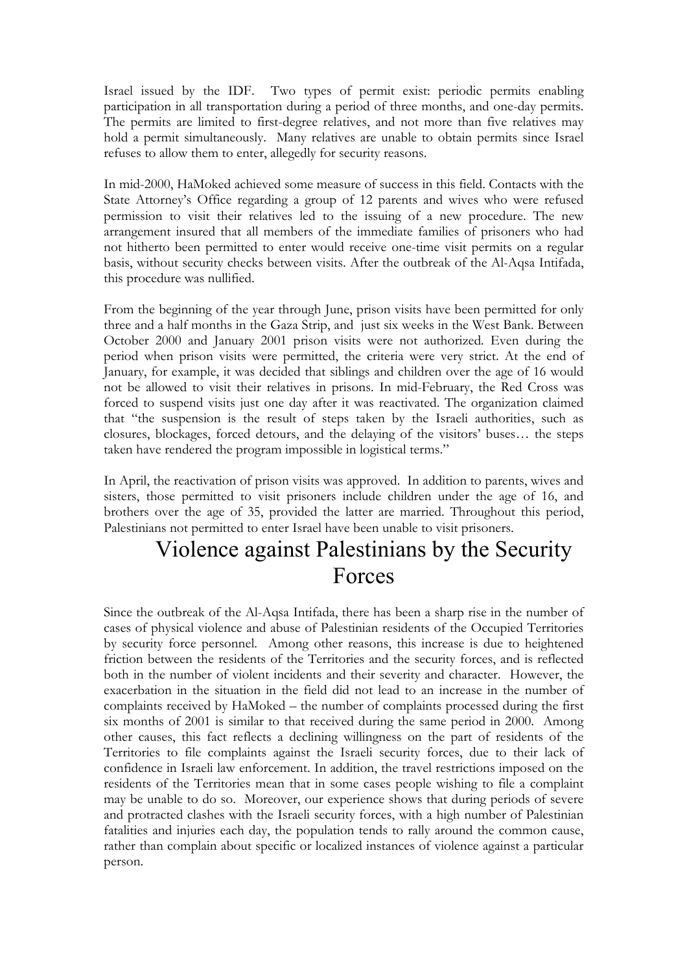Israel issued by the IDF. Two types of permit exist: periodic permits enabling participation in all transportation during a period of three months, and one-day permits. The permits are limited to first-degree relatives, and not more than five relatives may hold a permit simultaneously. Many relatives are unable to obtain permits since Israel refuses to allow them to enter, allegedly for security reasons.

In mid-2000, HaMoked achieved some measure of success in this field. Contacts with the State Attorney's Office regarding a group of 12 parents and wives who were refused permission to visit their relatives led to the issuing of a new procedure. The new arrangement insured that all members of the immediate families of prisoners who had not hitherto been permitted to enter would receive one-time visit permits on a regular basis, without security checks between visits. After the outbreak of the Al-Aqsa Intifada, this procedure was nullified.

From the beginning of the year through June, prison visits have been permitted for only three and a half months in the Gaza Strip, and just six weeks in the West Bank. Between October 2000 and January 2001 prison visits were not authorized. Even during the period when prison visits were permitted, the criteria were very strict. At the end of January, for example, it was decided that siblings and children over the age of 16 would not be allowed to visit their relatives in prisons. In mid-February, the Red Cross was forced to suspend visits just one day after it was reactivated. The organization claimed that "the suspension is the result of steps taken by the Israeli authorities, such as closures, blockages, forced detours, and the delaying of the visitors' buses… the steps taken have rendered the program impossible in logistical terms."

In April, the reactivation of prison visits was approved. In addition to parents, wives and sisters, those permitted to visit prisoners include children under the age of 16, and brothers over the age of 35, provided the latter are married. Throughout this period, Palestinians not permitted to enter Israel have been unable to visit prisoners.

## Violence against Palestinians by the Security Forces

Since the outbreak of the Al-Aqsa Intifada, there has been a sharp rise in the number of cases of physical violence and abuse of Palestinian residents of the Occupied Territories by security force personnel. Among other reasons, this increase is due to heightened friction between the residents of the Territories and the security forces, and is reflected both in the number of violent incidents and their severity and character. However, the exacerbation in the situation in the field did not lead to an increase in the number of complaints received by HaMoked – the number of complaints processed during the first six months of 2001 is similar to that received during the same period in 2000. Among other causes, this fact reflects a declining willingness on the part of residents of the Territories to file complaints against the Israeli security forces, due to their lack of confidence in Israeli law enforcement. In addition, the travel restrictions imposed on the residents of the Territories mean that in some cases people wishing to file a complaint may be unable to do so. Moreover, our experience shows that during periods of severe and protracted clashes with the Israeli security forces, with a high number of Palestinian fatalities and injuries each day, the population tends to rally around the common cause, rather than complain about specific or localized instances of violence against a particular person.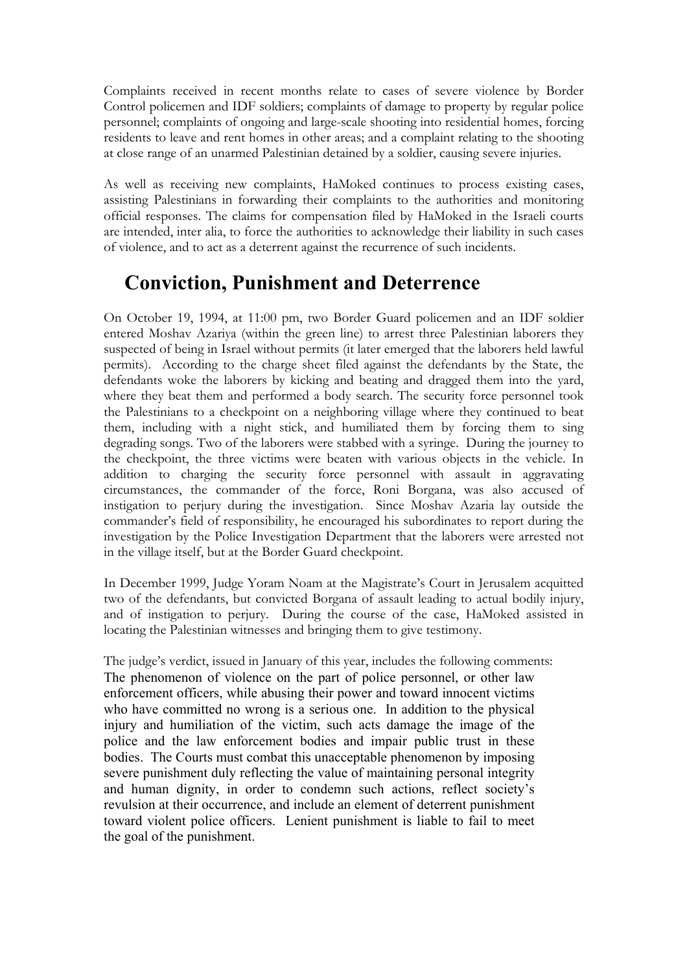Complaints received in recent months relate to cases of severe violence by Border Control policemen and IDF soldiers; complaints of damage to property by regular police personnel; complaints of ongoing and large-scale shooting into residential homes, forcing residents to leave and rent homes in other areas; and a complaint relating to the shooting at close range of an unarmed Palestinian detained by a soldier, causing severe injuries.

As well as receiving new complaints, HaMoked continues to process existing cases, assisting Palestinians in forwarding their complaints to the authorities and monitoring official responses. The claims for compensation filed by HaMoked in the Israeli courts are intended, inter alia, to force the authorities to acknowledge their liability in such cases of violence, and to act as a deterrent against the recurrence of such incidents.

## **Conviction, Punishment and Deterrence**

On October 19, 1994, at 11:00 pm, two Border Guard policemen and an IDF soldier entered Moshav Azariya (within the green line) to arrest three Palestinian laborers they suspected of being in Israel without permits (it later emerged that the laborers held lawful permits). According to the charge sheet filed against the defendants by the State, the defendants woke the laborers by kicking and beating and dragged them into the yard, where they beat them and performed a body search. The security force personnel took the Palestinians to a checkpoint on a neighboring village where they continued to beat them, including with a night stick, and humiliated them by forcing them to sing degrading songs. Two of the laborers were stabbed with a syringe. During the journey to the checkpoint, the three victims were beaten with various objects in the vehicle. In addition to charging the security force personnel with assault in aggravating circumstances, the commander of the force, Roni Borgana, was also accused of instigation to perjury during the investigation. Since Moshav Azaria lay outside the commander's field of responsibility, he encouraged his subordinates to report during the investigation by the Police Investigation Department that the laborers were arrested not in the village itself, but at the Border Guard checkpoint.

In December 1999, Judge Yoram Noam at the Magistrate's Court in Jerusalem acquitted two of the defendants, but convicted Borgana of assault leading to actual bodily injury, and of instigation to perjury. During the course of the case, HaMoked assisted in locating the Palestinian witnesses and bringing them to give testimony.

The judge's verdict, issued in January of this year, includes the following comments: The phenomenon of violence on the part of police personnel, or other law enforcement officers, while abusing their power and toward innocent victims who have committed no wrong is a serious one. In addition to the physical injury and humiliation of the victim, such acts damage the image of the police and the law enforcement bodies and impair public trust in these bodies. The Courts must combat this unacceptable phenomenon by imposing severe punishment duly reflecting the value of maintaining personal integrity and human dignity, in order to condemn such actions, reflect society's revulsion at their occurrence, and include an element of deterrent punishment toward violent police officers. Lenient punishment is liable to fail to meet the goal of the punishment.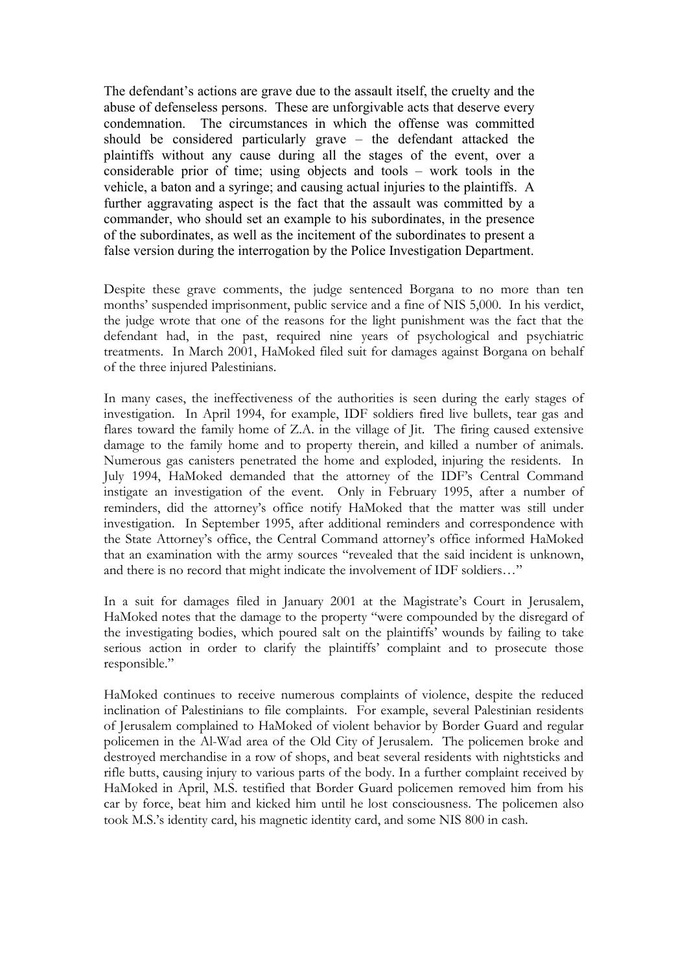The defendant's actions are grave due to the assault itself, the cruelty and the abuse of defenseless persons. These are unforgivable acts that deserve every condemnation. The circumstances in which the offense was committed should be considered particularly grave – the defendant attacked the plaintiffs without any cause during all the stages of the event, over a considerable prior of time; using objects and tools – work tools in the vehicle, a baton and a syringe; and causing actual injuries to the plaintiffs. A further aggravating aspect is the fact that the assault was committed by a commander, who should set an example to his subordinates, in the presence of the subordinates, as well as the incitement of the subordinates to present a false version during the interrogation by the Police Investigation Department.

Despite these grave comments, the judge sentenced Borgana to no more than ten months' suspended imprisonment, public service and a fine of NIS 5,000. In his verdict, the judge wrote that one of the reasons for the light punishment was the fact that the defendant had, in the past, required nine years of psychological and psychiatric treatments. In March 2001, HaMoked filed suit for damages against Borgana on behalf of the three injured Palestinians.

In many cases, the ineffectiveness of the authorities is seen during the early stages of investigation. In April 1994, for example, IDF soldiers fired live bullets, tear gas and flares toward the family home of Z.A. in the village of Jit. The firing caused extensive damage to the family home and to property therein, and killed a number of animals. Numerous gas canisters penetrated the home and exploded, injuring the residents. In July 1994, HaMoked demanded that the attorney of the IDF's Central Command instigate an investigation of the event. Only in February 1995, after a number of reminders, did the attorney's office notify HaMoked that the matter was still under investigation. In September 1995, after additional reminders and correspondence with the State Attorney's office, the Central Command attorney's office informed HaMoked that an examination with the army sources "revealed that the said incident is unknown, and there is no record that might indicate the involvement of IDF soldiers…"

In a suit for damages filed in January 2001 at the Magistrate's Court in Jerusalem, HaMoked notes that the damage to the property "were compounded by the disregard of the investigating bodies, which poured salt on the plaintiffs' wounds by failing to take serious action in order to clarify the plaintiffs' complaint and to prosecute those responsible."

HaMoked continues to receive numerous complaints of violence, despite the reduced inclination of Palestinians to file complaints. For example, several Palestinian residents of Jerusalem complained to HaMoked of violent behavior by Border Guard and regular policemen in the Al-Wad area of the Old City of Jerusalem. The policemen broke and destroyed merchandise in a row of shops, and beat several residents with nightsticks and rifle butts, causing injury to various parts of the body. In a further complaint received by HaMoked in April, M.S. testified that Border Guard policemen removed him from his car by force, beat him and kicked him until he lost consciousness. The policemen also took M.S.'s identity card, his magnetic identity card, and some NIS 800 in cash.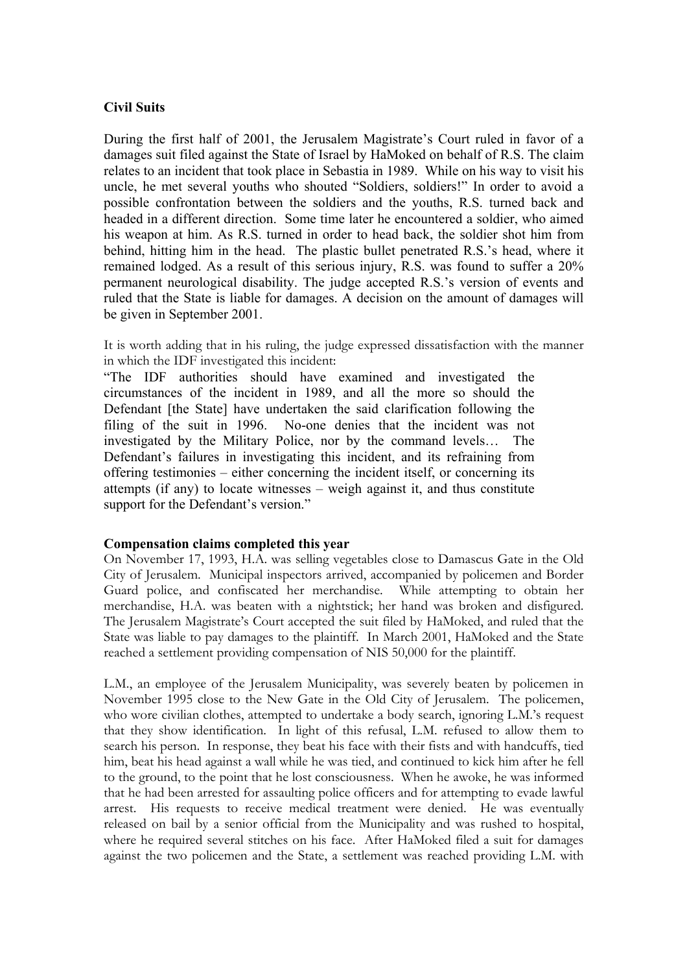#### **Civil Suits**

During the first half of 2001, the Jerusalem Magistrate's Court ruled in favor of a damages suit filed against the State of Israel by HaMoked on behalf of R.S. The claim relates to an incident that took place in Sebastia in 1989. While on his way to visit his uncle, he met several youths who shouted "Soldiers, soldiers!" In order to avoid a possible confrontation between the soldiers and the youths, R.S. turned back and headed in a different direction. Some time later he encountered a soldier, who aimed his weapon at him. As R.S. turned in order to head back, the soldier shot him from behind, hitting him in the head. The plastic bullet penetrated R.S.'s head, where it remained lodged. As a result of this serious injury, R.S. was found to suffer a 20% permanent neurological disability. The judge accepted R.S.'s version of events and ruled that the State is liable for damages. A decision on the amount of damages will be given in September 2001.

It is worth adding that in his ruling, the judge expressed dissatisfaction with the manner in which the IDF investigated this incident:

"The IDF authorities should have examined and investigated the circumstances of the incident in 1989, and all the more so should the Defendant [the State] have undertaken the said clarification following the filing of the suit in 1996. No-one denies that the incident was not investigated by the Military Police, nor by the command levels… The Defendant's failures in investigating this incident, and its refraining from offering testimonies – either concerning the incident itself, or concerning its attempts (if any) to locate witnesses – weigh against it, and thus constitute support for the Defendant's version."

#### **Compensation claims completed this year**

On November 17, 1993, H.A. was selling vegetables close to Damascus Gate in the Old City of Jerusalem. Municipal inspectors arrived, accompanied by policemen and Border Guard police, and confiscated her merchandise. While attempting to obtain her merchandise, H.A. was beaten with a nightstick; her hand was broken and disfigured. The Jerusalem Magistrate's Court accepted the suit filed by HaMoked, and ruled that the State was liable to pay damages to the plaintiff. In March 2001, HaMoked and the State reached a settlement providing compensation of NIS 50,000 for the plaintiff.

L.M., an employee of the Jerusalem Municipality, was severely beaten by policemen in November 1995 close to the New Gate in the Old City of Jerusalem. The policemen, who wore civilian clothes, attempted to undertake a body search, ignoring L.M.'s request that they show identification. In light of this refusal, L.M. refused to allow them to search his person. In response, they beat his face with their fists and with handcuffs, tied him, beat his head against a wall while he was tied, and continued to kick him after he fell to the ground, to the point that he lost consciousness. When he awoke, he was informed that he had been arrested for assaulting police officers and for attempting to evade lawful arrest. His requests to receive medical treatment were denied. He was eventually released on bail by a senior official from the Municipality and was rushed to hospital, where he required several stitches on his face. After HaMoked filed a suit for damages against the two policemen and the State, a settlement was reached providing L.M. with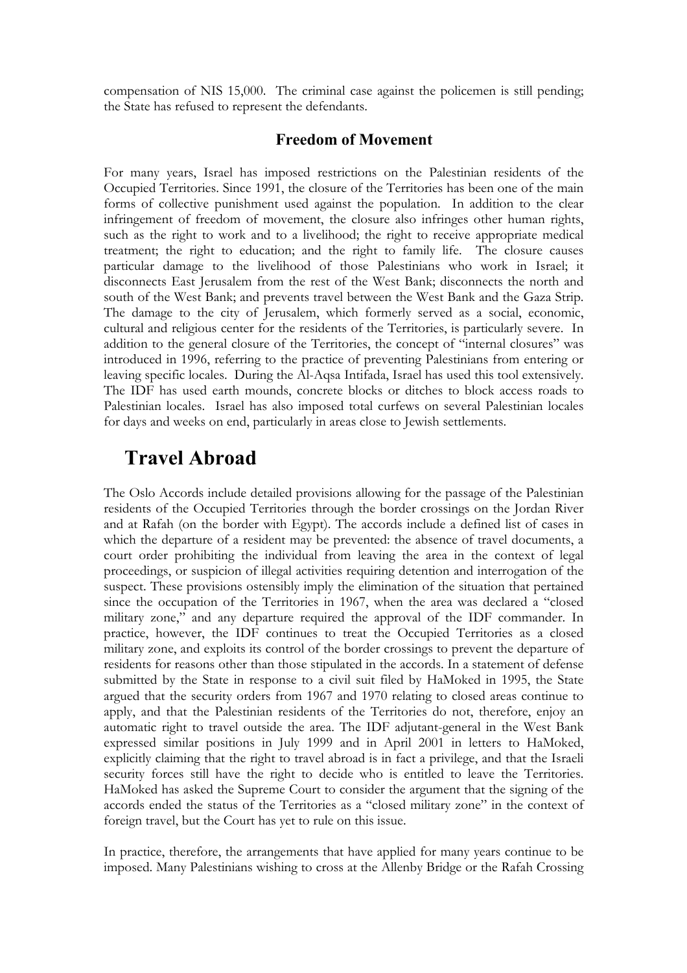compensation of NIS 15,000. The criminal case against the policemen is still pending; the State has refused to represent the defendants.

### **Freedom of Movement**

For many years, Israel has imposed restrictions on the Palestinian residents of the Occupied Territories. Since 1991, the closure of the Territories has been one of the main forms of collective punishment used against the population. In addition to the clear infringement of freedom of movement, the closure also infringes other human rights, such as the right to work and to a livelihood; the right to receive appropriate medical treatment; the right to education; and the right to family life. The closure causes particular damage to the livelihood of those Palestinians who work in Israel; it disconnects East Jerusalem from the rest of the West Bank; disconnects the north and south of the West Bank; and prevents travel between the West Bank and the Gaza Strip. The damage to the city of Jerusalem, which formerly served as a social, economic, cultural and religious center for the residents of the Territories, is particularly severe. In addition to the general closure of the Territories, the concept of "internal closures" was introduced in 1996, referring to the practice of preventing Palestinians from entering or leaving specific locales. During the Al-Aqsa Intifada, Israel has used this tool extensively. The IDF has used earth mounds, concrete blocks or ditches to block access roads to Palestinian locales. Israel has also imposed total curfews on several Palestinian locales for days and weeks on end, particularly in areas close to Jewish settlements.

### **Travel Abroad**

The Oslo Accords include detailed provisions allowing for the passage of the Palestinian residents of the Occupied Territories through the border crossings on the Jordan River and at Rafah (on the border with Egypt). The accords include a defined list of cases in which the departure of a resident may be prevented: the absence of travel documents, a court order prohibiting the individual from leaving the area in the context of legal proceedings, or suspicion of illegal activities requiring detention and interrogation of the suspect. These provisions ostensibly imply the elimination of the situation that pertained since the occupation of the Territories in 1967, when the area was declared a "closed military zone," and any departure required the approval of the IDF commander. In practice, however, the IDF continues to treat the Occupied Territories as a closed military zone, and exploits its control of the border crossings to prevent the departure of residents for reasons other than those stipulated in the accords. In a statement of defense submitted by the State in response to a civil suit filed by HaMoked in 1995, the State argued that the security orders from 1967 and 1970 relating to closed areas continue to apply, and that the Palestinian residents of the Territories do not, therefore, enjoy an automatic right to travel outside the area. The IDF adjutant-general in the West Bank expressed similar positions in July 1999 and in April 2001 in letters to HaMoked, explicitly claiming that the right to travel abroad is in fact a privilege, and that the Israeli security forces still have the right to decide who is entitled to leave the Territories. HaMoked has asked the Supreme Court to consider the argument that the signing of the accords ended the status of the Territories as a "closed military zone" in the context of foreign travel, but the Court has yet to rule on this issue.

In practice, therefore, the arrangements that have applied for many years continue to be imposed. Many Palestinians wishing to cross at the Allenby Bridge or the Rafah Crossing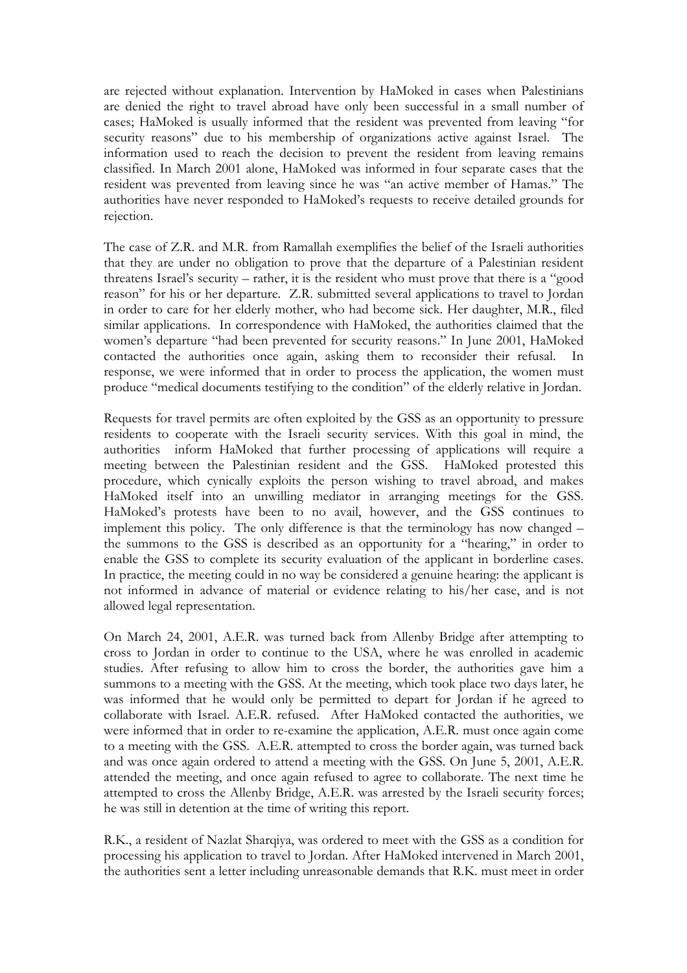are rejected without explanation. Intervention by HaMoked in cases when Palestinians are denied the right to travel abroad have only been successful in a small number of cases; HaMoked is usually informed that the resident was prevented from leaving "for security reasons" due to his membership of organizations active against Israel. The information used to reach the decision to prevent the resident from leaving remains classified. In March 2001 alone, HaMoked was informed in four separate cases that the resident was prevented from leaving since he was "an active member of Hamas." The authorities have never responded to HaMoked's requests to receive detailed grounds for rejection.

The case of Z.R. and M.R. from Ramallah exemplifies the belief of the Israeli authorities that they are under no obligation to prove that the departure of a Palestinian resident threatens Israel's security – rather, it is the resident who must prove that there is a "good reason" for his or her departure. Z.R. submitted several applications to travel to Jordan in order to care for her elderly mother, who had become sick. Her daughter, M.R., filed similar applications. In correspondence with HaMoked, the authorities claimed that the women's departure "had been prevented for security reasons." In June 2001, HaMoked contacted the authorities once again, asking them to reconsider their refusal. In response, we were informed that in order to process the application, the women must produce "medical documents testifying to the condition" of the elderly relative in Jordan.

Requests for travel permits are often exploited by the GSS as an opportunity to pressure residents to cooperate with the Israeli security services. With this goal in mind, the authorities inform HaMoked that further processing of applications will require a meeting between the Palestinian resident and the GSS. HaMoked protested this procedure, which cynically exploits the person wishing to travel abroad, and makes HaMoked itself into an unwilling mediator in arranging meetings for the GSS. HaMoked's protests have been to no avail, however, and the GSS continues to implement this policy. The only difference is that the terminology has now changed – the summons to the GSS is described as an opportunity for a "hearing," in order to enable the GSS to complete its security evaluation of the applicant in borderline cases. In practice, the meeting could in no way be considered a genuine hearing: the applicant is not informed in advance of material or evidence relating to his/her case, and is not allowed legal representation.

On March 24, 2001, A.E.R. was turned back from Allenby Bridge after attempting to cross to Jordan in order to continue to the USA, where he was enrolled in academic studies. After refusing to allow him to cross the border, the authorities gave him a summons to a meeting with the GSS. At the meeting, which took place two days later, he was informed that he would only be permitted to depart for Jordan if he agreed to collaborate with Israel. A.E.R. refused. After HaMoked contacted the authorities, we were informed that in order to re-examine the application, A.E.R. must once again come to a meeting with the GSS. A.E.R. attempted to cross the border again, was turned back and was once again ordered to attend a meeting with the GSS. On June 5, 2001, A.E.R. attended the meeting, and once again refused to agree to collaborate. The next time he attempted to cross the Allenby Bridge, A.E.R. was arrested by the Israeli security forces; he was still in detention at the time of writing this report.

R.K., a resident of Nazlat Sharqiya, was ordered to meet with the GSS as a condition for processing his application to travel to Jordan. After HaMoked intervened in March 2001, the authorities sent a letter including unreasonable demands that R.K. must meet in order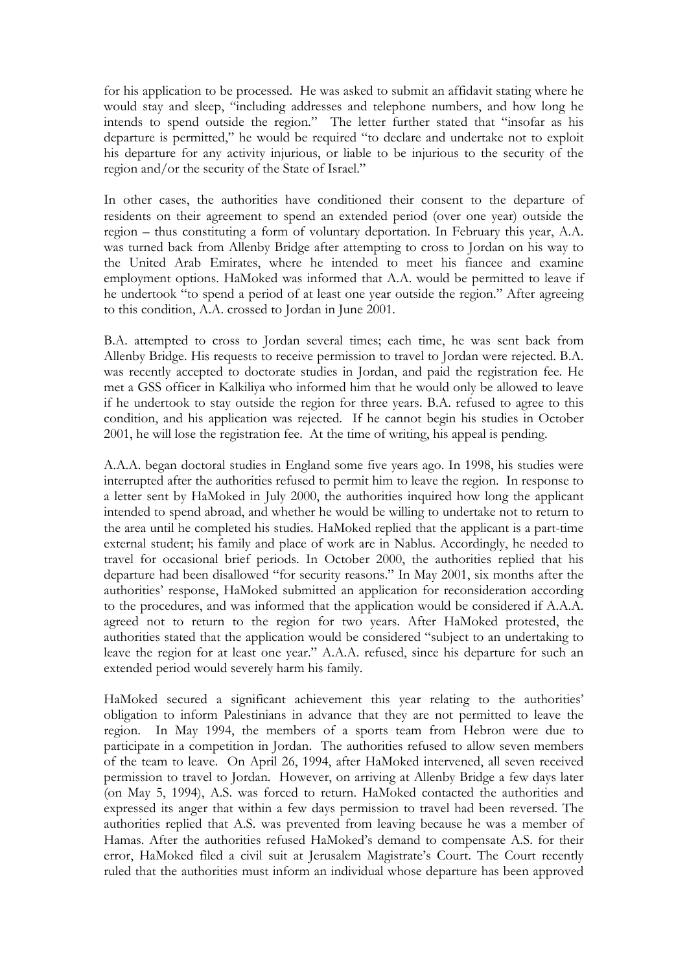for his application to be processed. He was asked to submit an affidavit stating where he would stay and sleep, "including addresses and telephone numbers, and how long he intends to spend outside the region." The letter further stated that "insofar as his departure is permitted," he would be required "to declare and undertake not to exploit his departure for any activity injurious, or liable to be injurious to the security of the region and/or the security of the State of Israel."

In other cases, the authorities have conditioned their consent to the departure of residents on their agreement to spend an extended period (over one year) outside the region – thus constituting a form of voluntary deportation. In February this year, A.A. was turned back from Allenby Bridge after attempting to cross to Jordan on his way to the United Arab Emirates, where he intended to meet his fiancee and examine employment options. HaMoked was informed that A.A. would be permitted to leave if he undertook "to spend a period of at least one year outside the region." After agreeing to this condition, A.A. crossed to Jordan in June 2001.

B.A. attempted to cross to Jordan several times; each time, he was sent back from Allenby Bridge. His requests to receive permission to travel to Jordan were rejected. B.A. was recently accepted to doctorate studies in Jordan, and paid the registration fee. He met a GSS officer in Kalkiliya who informed him that he would only be allowed to leave if he undertook to stay outside the region for three years. B.A. refused to agree to this condition, and his application was rejected. If he cannot begin his studies in October 2001, he will lose the registration fee. At the time of writing, his appeal is pending.

A.A.A. began doctoral studies in England some five years ago. In 1998, his studies were interrupted after the authorities refused to permit him to leave the region. In response to a letter sent by HaMoked in July 2000, the authorities inquired how long the applicant intended to spend abroad, and whether he would be willing to undertake not to return to the area until he completed his studies. HaMoked replied that the applicant is a part-time external student; his family and place of work are in Nablus. Accordingly, he needed to travel for occasional brief periods. In October 2000, the authorities replied that his departure had been disallowed "for security reasons." In May 2001, six months after the authorities' response, HaMoked submitted an application for reconsideration according to the procedures, and was informed that the application would be considered if A.A.A. agreed not to return to the region for two years. After HaMoked protested, the authorities stated that the application would be considered "subject to an undertaking to leave the region for at least one year." A.A.A. refused, since his departure for such an extended period would severely harm his family.

HaMoked secured a significant achievement this year relating to the authorities' obligation to inform Palestinians in advance that they are not permitted to leave the region. In May 1994, the members of a sports team from Hebron were due to participate in a competition in Jordan. The authorities refused to allow seven members of the team to leave. On April 26, 1994, after HaMoked intervened, all seven received permission to travel to Jordan. However, on arriving at Allenby Bridge a few days later (on May 5, 1994), A.S. was forced to return. HaMoked contacted the authorities and expressed its anger that within a few days permission to travel had been reversed. The authorities replied that A.S. was prevented from leaving because he was a member of Hamas. After the authorities refused HaMoked's demand to compensate A.S. for their error, HaMoked filed a civil suit at Jerusalem Magistrate's Court. The Court recently ruled that the authorities must inform an individual whose departure has been approved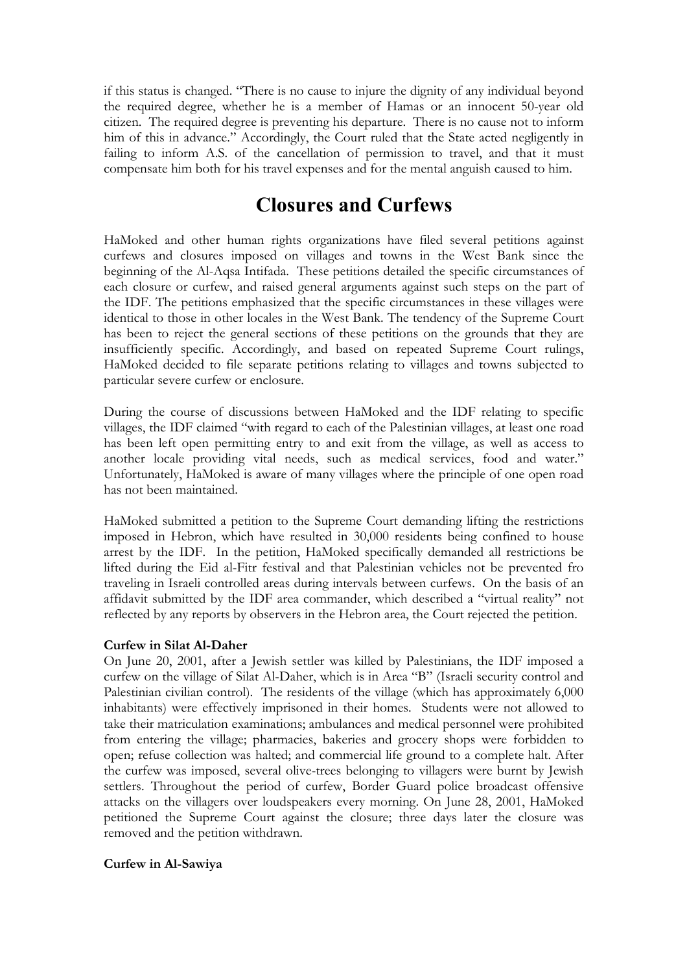if this status is changed. "There is no cause to injure the dignity of any individual beyond the required degree, whether he is a member of Hamas or an innocent 50-year old citizen. The required degree is preventing his departure. There is no cause not to inform him of this in advance." Accordingly, the Court ruled that the State acted negligently in failing to inform A.S. of the cancellation of permission to travel, and that it must compensate him both for his travel expenses and for the mental anguish caused to him.

### **Closures and Curfews**

HaMoked and other human rights organizations have filed several petitions against curfews and closures imposed on villages and towns in the West Bank since the beginning of the Al-Aqsa Intifada. These petitions detailed the specific circumstances of each closure or curfew, and raised general arguments against such steps on the part of the IDF. The petitions emphasized that the specific circumstances in these villages were identical to those in other locales in the West Bank. The tendency of the Supreme Court has been to reject the general sections of these petitions on the grounds that they are insufficiently specific. Accordingly, and based on repeated Supreme Court rulings, HaMoked decided to file separate petitions relating to villages and towns subjected to particular severe curfew or enclosure.

During the course of discussions between HaMoked and the IDF relating to specific villages, the IDF claimed "with regard to each of the Palestinian villages, at least one road has been left open permitting entry to and exit from the village, as well as access to another locale providing vital needs, such as medical services, food and water." Unfortunately, HaMoked is aware of many villages where the principle of one open road has not been maintained.

HaMoked submitted a petition to the Supreme Court demanding lifting the restrictions imposed in Hebron, which have resulted in 30,000 residents being confined to house arrest by the IDF. In the petition, HaMoked specifically demanded all restrictions be lifted during the Eid al-Fitr festival and that Palestinian vehicles not be prevented fro traveling in Israeli controlled areas during intervals between curfews. On the basis of an affidavit submitted by the IDF area commander, which described a "virtual reality" not reflected by any reports by observers in the Hebron area, the Court rejected the petition.

#### **Curfew in Silat Al-Daher**

On June 20, 2001, after a Jewish settler was killed by Palestinians, the IDF imposed a curfew on the village of Silat Al-Daher, which is in Area "B" (Israeli security control and Palestinian civilian control). The residents of the village (which has approximately 6,000 inhabitants) were effectively imprisoned in their homes. Students were not allowed to take their matriculation examinations; ambulances and medical personnel were prohibited from entering the village; pharmacies, bakeries and grocery shops were forbidden to open; refuse collection was halted; and commercial life ground to a complete halt. After the curfew was imposed, several olive-trees belonging to villagers were burnt by Jewish settlers. Throughout the period of curfew, Border Guard police broadcast offensive attacks on the villagers over loudspeakers every morning. On June 28, 2001, HaMoked petitioned the Supreme Court against the closure; three days later the closure was removed and the petition withdrawn.

#### **Curfew in Al-Sawiya**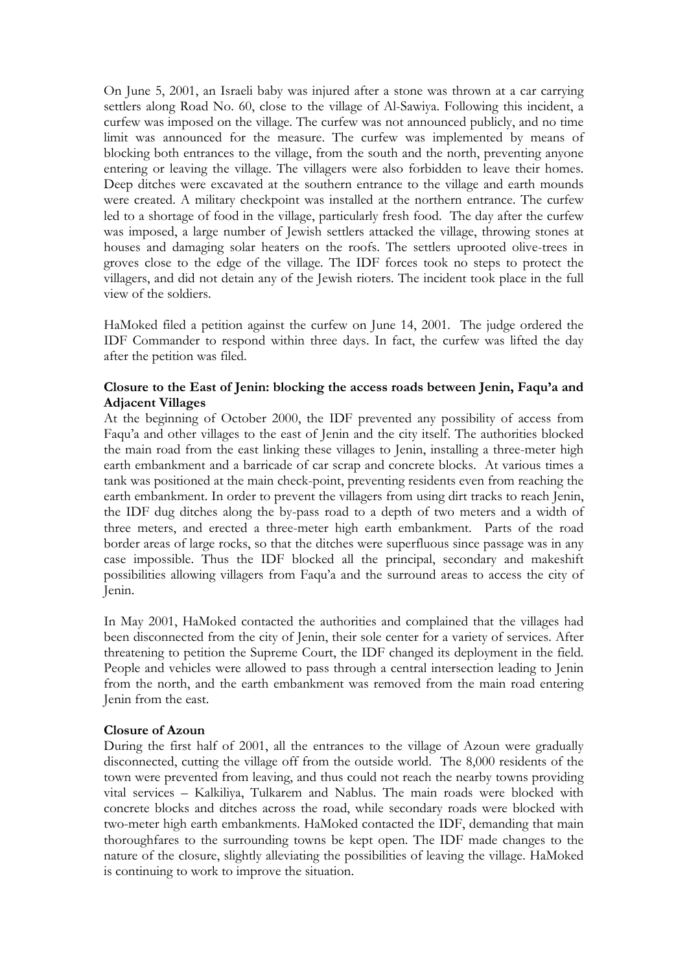On June 5, 2001, an Israeli baby was injured after a stone was thrown at a car carrying settlers along Road No. 60, close to the village of Al-Sawiya. Following this incident, a curfew was imposed on the village. The curfew was not announced publicly, and no time limit was announced for the measure. The curfew was implemented by means of blocking both entrances to the village, from the south and the north, preventing anyone entering or leaving the village. The villagers were also forbidden to leave their homes. Deep ditches were excavated at the southern entrance to the village and earth mounds were created. A military checkpoint was installed at the northern entrance. The curfew led to a shortage of food in the village, particularly fresh food. The day after the curfew was imposed, a large number of Jewish settlers attacked the village, throwing stones at houses and damaging solar heaters on the roofs. The settlers uprooted olive-trees in groves close to the edge of the village. The IDF forces took no steps to protect the villagers, and did not detain any of the Jewish rioters. The incident took place in the full view of the soldiers.

HaMoked filed a petition against the curfew on June 14, 2001. The judge ordered the IDF Commander to respond within three days. In fact, the curfew was lifted the day after the petition was filed.

### **Closure to the East of Jenin: blocking the access roads between Jenin, Faqu'a and Adjacent Villages**

At the beginning of October 2000, the IDF prevented any possibility of access from Faqu'a and other villages to the east of Jenin and the city itself. The authorities blocked the main road from the east linking these villages to Jenin, installing a three-meter high earth embankment and a barricade of car scrap and concrete blocks. At various times a tank was positioned at the main check-point, preventing residents even from reaching the earth embankment. In order to prevent the villagers from using dirt tracks to reach Jenin, the IDF dug ditches along the by-pass road to a depth of two meters and a width of three meters, and erected a three-meter high earth embankment. Parts of the road border areas of large rocks, so that the ditches were superfluous since passage was in any case impossible. Thus the IDF blocked all the principal, secondary and makeshift possibilities allowing villagers from Faqu'a and the surround areas to access the city of Jenin.

In May 2001, HaMoked contacted the authorities and complained that the villages had been disconnected from the city of Jenin, their sole center for a variety of services. After threatening to petition the Supreme Court, the IDF changed its deployment in the field. People and vehicles were allowed to pass through a central intersection leading to Jenin from the north, and the earth embankment was removed from the main road entering Jenin from the east.

#### **Closure of Azoun**

During the first half of 2001, all the entrances to the village of Azoun were gradually disconnected, cutting the village off from the outside world. The 8,000 residents of the town were prevented from leaving, and thus could not reach the nearby towns providing vital services – Kalkiliya, Tulkarem and Nablus. The main roads were blocked with concrete blocks and ditches across the road, while secondary roads were blocked with two-meter high earth embankments. HaMoked contacted the IDF, demanding that main thoroughfares to the surrounding towns be kept open. The IDF made changes to the nature of the closure, slightly alleviating the possibilities of leaving the village. HaMoked is continuing to work to improve the situation.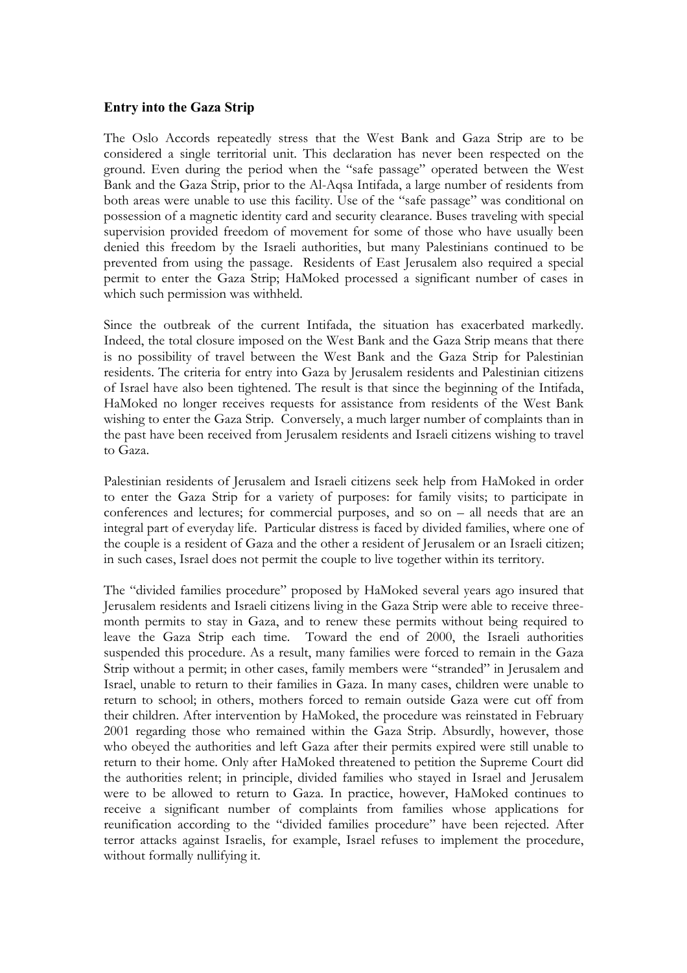#### **Entry into the Gaza Strip**

The Oslo Accords repeatedly stress that the West Bank and Gaza Strip are to be considered a single territorial unit. This declaration has never been respected on the ground. Even during the period when the "safe passage" operated between the West Bank and the Gaza Strip, prior to the Al-Aqsa Intifada, a large number of residents from both areas were unable to use this facility. Use of the "safe passage" was conditional on possession of a magnetic identity card and security clearance. Buses traveling with special supervision provided freedom of movement for some of those who have usually been denied this freedom by the Israeli authorities, but many Palestinians continued to be prevented from using the passage. Residents of East Jerusalem also required a special permit to enter the Gaza Strip; HaMoked processed a significant number of cases in which such permission was withheld.

Since the outbreak of the current Intifada, the situation has exacerbated markedly. Indeed, the total closure imposed on the West Bank and the Gaza Strip means that there is no possibility of travel between the West Bank and the Gaza Strip for Palestinian residents. The criteria for entry into Gaza by Jerusalem residents and Palestinian citizens of Israel have also been tightened. The result is that since the beginning of the Intifada, HaMoked no longer receives requests for assistance from residents of the West Bank wishing to enter the Gaza Strip. Conversely, a much larger number of complaints than in the past have been received from Jerusalem residents and Israeli citizens wishing to travel to Gaza.

Palestinian residents of Jerusalem and Israeli citizens seek help from HaMoked in order to enter the Gaza Strip for a variety of purposes: for family visits; to participate in conferences and lectures; for commercial purposes, and so on – all needs that are an integral part of everyday life. Particular distress is faced by divided families, where one of the couple is a resident of Gaza and the other a resident of Jerusalem or an Israeli citizen; in such cases, Israel does not permit the couple to live together within its territory.

The "divided families procedure" proposed by HaMoked several years ago insured that Jerusalem residents and Israeli citizens living in the Gaza Strip were able to receive threemonth permits to stay in Gaza, and to renew these permits without being required to leave the Gaza Strip each time. Toward the end of 2000, the Israeli authorities suspended this procedure. As a result, many families were forced to remain in the Gaza Strip without a permit; in other cases, family members were "stranded" in Jerusalem and Israel, unable to return to their families in Gaza. In many cases, children were unable to return to school; in others, mothers forced to remain outside Gaza were cut off from their children. After intervention by HaMoked, the procedure was reinstated in February 2001 regarding those who remained within the Gaza Strip. Absurdly, however, those who obeyed the authorities and left Gaza after their permits expired were still unable to return to their home. Only after HaMoked threatened to petition the Supreme Court did the authorities relent; in principle, divided families who stayed in Israel and Jerusalem were to be allowed to return to Gaza. In practice, however, HaMoked continues to receive a significant number of complaints from families whose applications for reunification according to the "divided families procedure" have been rejected. After terror attacks against Israelis, for example, Israel refuses to implement the procedure, without formally nullifying it.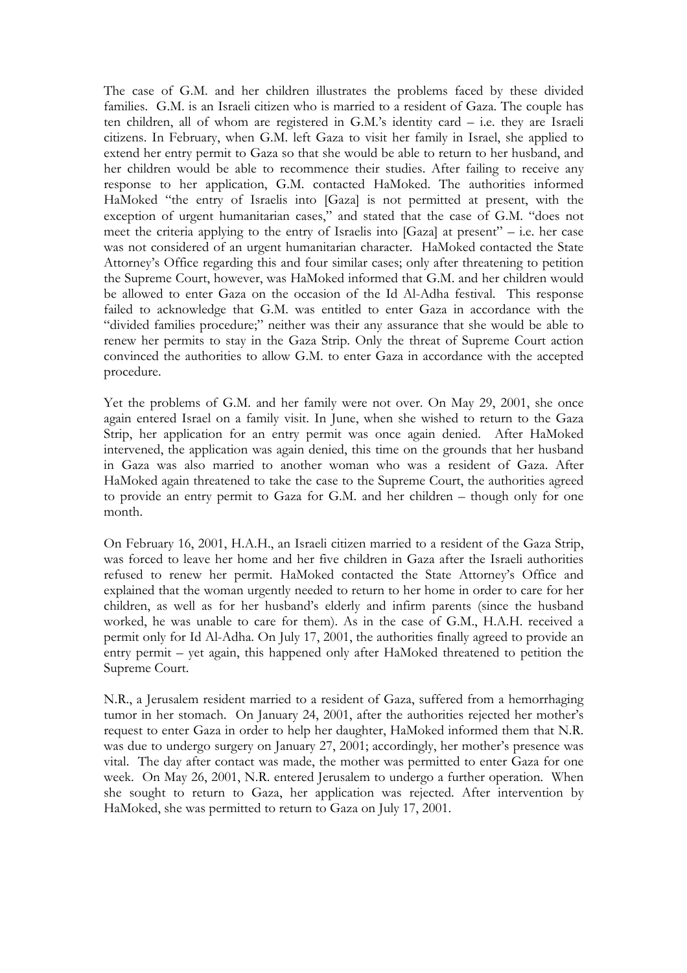The case of G.M. and her children illustrates the problems faced by these divided families. G.M. is an Israeli citizen who is married to a resident of Gaza. The couple has ten children, all of whom are registered in G.M.'s identity card – i.e. they are Israeli citizens. In February, when G.M. left Gaza to visit her family in Israel, she applied to extend her entry permit to Gaza so that she would be able to return to her husband, and her children would be able to recommence their studies. After failing to receive any response to her application, G.M. contacted HaMoked. The authorities informed HaMoked "the entry of Israelis into [Gaza] is not permitted at present, with the exception of urgent humanitarian cases," and stated that the case of G.M. "does not meet the criteria applying to the entry of Israelis into [Gaza] at present" – i.e. her case was not considered of an urgent humanitarian character. HaMoked contacted the State Attorney's Office regarding this and four similar cases; only after threatening to petition the Supreme Court, however, was HaMoked informed that G.M. and her children would be allowed to enter Gaza on the occasion of the Id Al-Adha festival. This response failed to acknowledge that G.M. was entitled to enter Gaza in accordance with the "divided families procedure;" neither was their any assurance that she would be able to renew her permits to stay in the Gaza Strip. Only the threat of Supreme Court action convinced the authorities to allow G.M. to enter Gaza in accordance with the accepted procedure.

Yet the problems of G.M. and her family were not over. On May 29, 2001, she once again entered Israel on a family visit. In June, when she wished to return to the Gaza Strip, her application for an entry permit was once again denied. After HaMoked intervened, the application was again denied, this time on the grounds that her husband in Gaza was also married to another woman who was a resident of Gaza. After HaMoked again threatened to take the case to the Supreme Court, the authorities agreed to provide an entry permit to Gaza for G.M. and her children – though only for one month.

On February 16, 2001, H.A.H., an Israeli citizen married to a resident of the Gaza Strip, was forced to leave her home and her five children in Gaza after the Israeli authorities refused to renew her permit. HaMoked contacted the State Attorney's Office and explained that the woman urgently needed to return to her home in order to care for her children, as well as for her husband's elderly and infirm parents (since the husband worked, he was unable to care for them). As in the case of G.M., H.A.H. received a permit only for Id Al-Adha. On July 17, 2001, the authorities finally agreed to provide an entry permit – yet again, this happened only after HaMoked threatened to petition the Supreme Court.

N.R., a Jerusalem resident married to a resident of Gaza, suffered from a hemorrhaging tumor in her stomach. On January 24, 2001, after the authorities rejected her mother's request to enter Gaza in order to help her daughter, HaMoked informed them that N.R. was due to undergo surgery on January 27, 2001; accordingly, her mother's presence was vital. The day after contact was made, the mother was permitted to enter Gaza for one week. On May 26, 2001, N.R. entered Jerusalem to undergo a further operation. When she sought to return to Gaza, her application was rejected. After intervention by HaMoked, she was permitted to return to Gaza on July 17, 2001.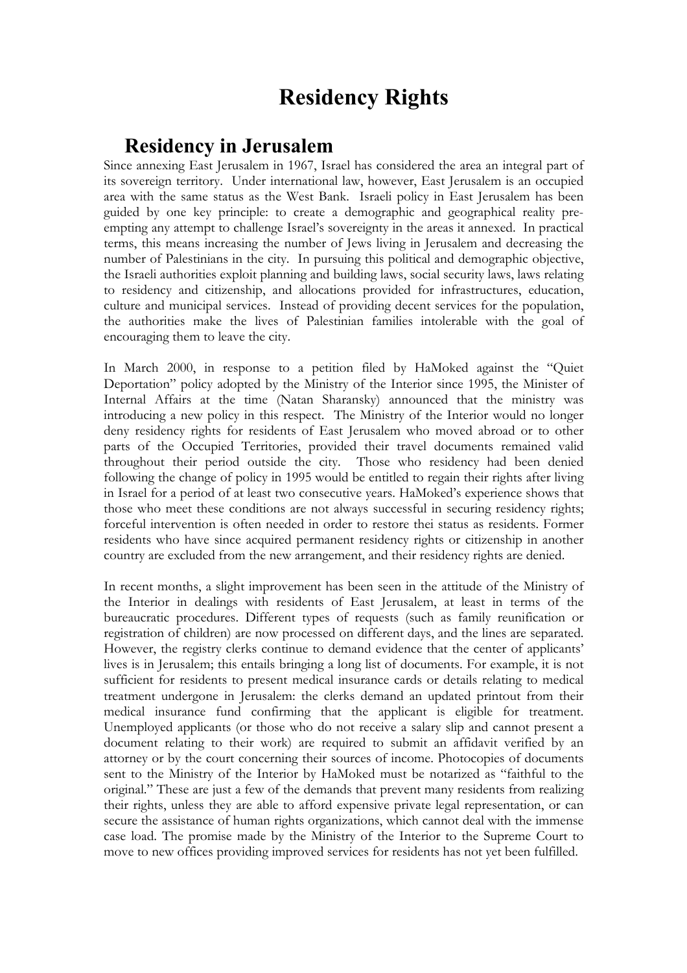## **Residency Rights**

### **Residency in Jerusalem**

Since annexing East Jerusalem in 1967, Israel has considered the area an integral part of its sovereign territory. Under international law, however, East Jerusalem is an occupied area with the same status as the West Bank. Israeli policy in East Jerusalem has been guided by one key principle: to create a demographic and geographical reality preempting any attempt to challenge Israel's sovereignty in the areas it annexed. In practical terms, this means increasing the number of Jews living in Jerusalem and decreasing the number of Palestinians in the city. In pursuing this political and demographic objective, the Israeli authorities exploit planning and building laws, social security laws, laws relating to residency and citizenship, and allocations provided for infrastructures, education, culture and municipal services. Instead of providing decent services for the population, the authorities make the lives of Palestinian families intolerable with the goal of encouraging them to leave the city.

In March 2000, in response to a petition filed by HaMoked against the "Quiet Deportation" policy adopted by the Ministry of the Interior since 1995, the Minister of Internal Affairs at the time (Natan Sharansky) announced that the ministry was introducing a new policy in this respect. The Ministry of the Interior would no longer deny residency rights for residents of East Jerusalem who moved abroad or to other parts of the Occupied Territories, provided their travel documents remained valid throughout their period outside the city. Those who residency had been denied following the change of policy in 1995 would be entitled to regain their rights after living in Israel for a period of at least two consecutive years. HaMoked's experience shows that those who meet these conditions are not always successful in securing residency rights; forceful intervention is often needed in order to restore thei status as residents. Former residents who have since acquired permanent residency rights or citizenship in another country are excluded from the new arrangement, and their residency rights are denied.

In recent months, a slight improvement has been seen in the attitude of the Ministry of the Interior in dealings with residents of East Jerusalem, at least in terms of the bureaucratic procedures. Different types of requests (such as family reunification or registration of children) are now processed on different days, and the lines are separated. However, the registry clerks continue to demand evidence that the center of applicants' lives is in Jerusalem; this entails bringing a long list of documents. For example, it is not sufficient for residents to present medical insurance cards or details relating to medical treatment undergone in Jerusalem: the clerks demand an updated printout from their medical insurance fund confirming that the applicant is eligible for treatment. Unemployed applicants (or those who do not receive a salary slip and cannot present a document relating to their work) are required to submit an affidavit verified by an attorney or by the court concerning their sources of income. Photocopies of documents sent to the Ministry of the Interior by HaMoked must be notarized as "faithful to the original." These are just a few of the demands that prevent many residents from realizing their rights, unless they are able to afford expensive private legal representation, or can secure the assistance of human rights organizations, which cannot deal with the immense case load. The promise made by the Ministry of the Interior to the Supreme Court to move to new offices providing improved services for residents has not yet been fulfilled.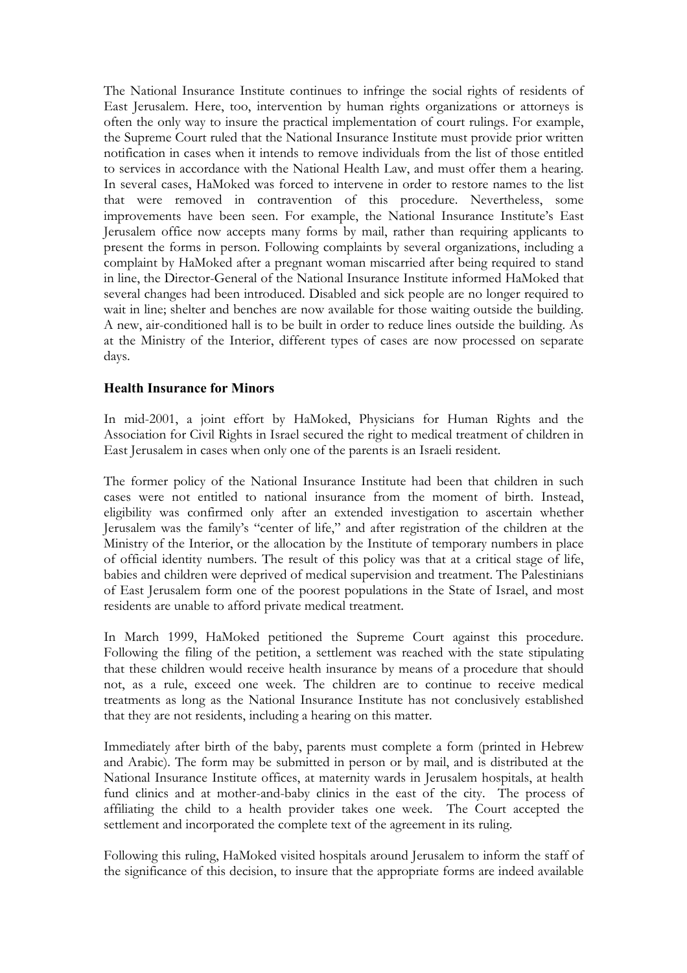The National Insurance Institute continues to infringe the social rights of residents of East Jerusalem. Here, too, intervention by human rights organizations or attorneys is often the only way to insure the practical implementation of court rulings. For example, the Supreme Court ruled that the National Insurance Institute must provide prior written notification in cases when it intends to remove individuals from the list of those entitled to services in accordance with the National Health Law, and must offer them a hearing. In several cases, HaMoked was forced to intervene in order to restore names to the list that were removed in contravention of this procedure. Nevertheless, some improvements have been seen. For example, the National Insurance Institute's East Jerusalem office now accepts many forms by mail, rather than requiring applicants to present the forms in person. Following complaints by several organizations, including a complaint by HaMoked after a pregnant woman miscarried after being required to stand in line, the Director-General of the National Insurance Institute informed HaMoked that several changes had been introduced. Disabled and sick people are no longer required to wait in line; shelter and benches are now available for those waiting outside the building. A new, air-conditioned hall is to be built in order to reduce lines outside the building. As at the Ministry of the Interior, different types of cases are now processed on separate days.

### **Health Insurance for Minors**

In mid-2001, a joint effort by HaMoked, Physicians for Human Rights and the Association for Civil Rights in Israel secured the right to medical treatment of children in East Jerusalem in cases when only one of the parents is an Israeli resident.

The former policy of the National Insurance Institute had been that children in such cases were not entitled to national insurance from the moment of birth. Instead, eligibility was confirmed only after an extended investigation to ascertain whether Jerusalem was the family's "center of life," and after registration of the children at the Ministry of the Interior, or the allocation by the Institute of temporary numbers in place of official identity numbers. The result of this policy was that at a critical stage of life, babies and children were deprived of medical supervision and treatment. The Palestinians of East Jerusalem form one of the poorest populations in the State of Israel, and most residents are unable to afford private medical treatment.

In March 1999, HaMoked petitioned the Supreme Court against this procedure. Following the filing of the petition, a settlement was reached with the state stipulating that these children would receive health insurance by means of a procedure that should not, as a rule, exceed one week. The children are to continue to receive medical treatments as long as the National Insurance Institute has not conclusively established that they are not residents, including a hearing on this matter.

Immediately after birth of the baby, parents must complete a form (printed in Hebrew and Arabic). The form may be submitted in person or by mail, and is distributed at the National Insurance Institute offices, at maternity wards in Jerusalem hospitals, at health fund clinics and at mother-and-baby clinics in the east of the city. The process of affiliating the child to a health provider takes one week. The Court accepted the settlement and incorporated the complete text of the agreement in its ruling.

Following this ruling, HaMoked visited hospitals around Jerusalem to inform the staff of the significance of this decision, to insure that the appropriate forms are indeed available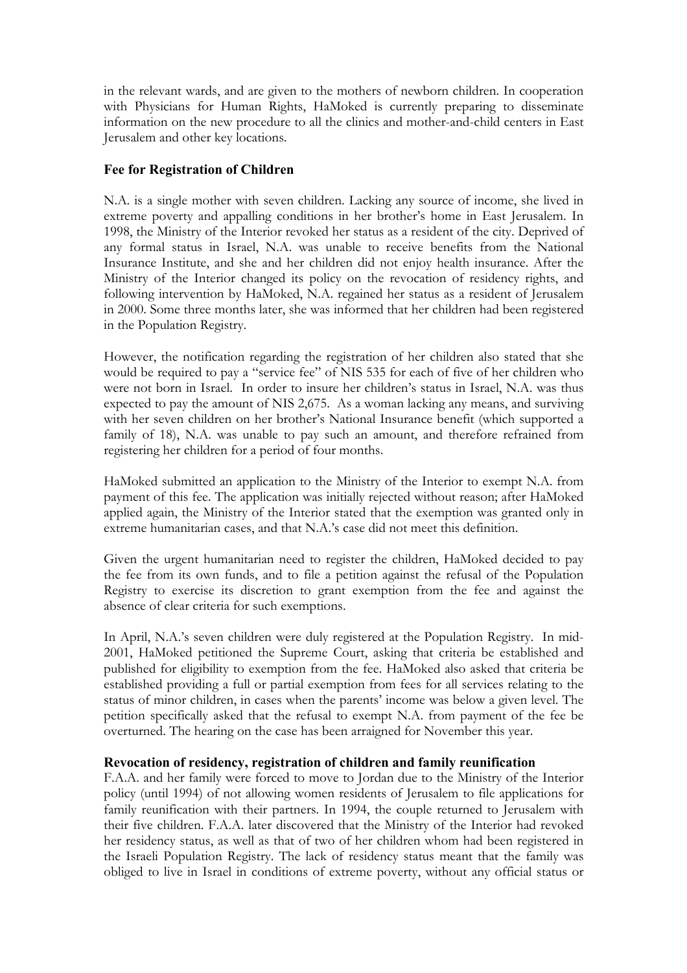in the relevant wards, and are given to the mothers of newborn children. In cooperation with Physicians for Human Rights, HaMoked is currently preparing to disseminate information on the new procedure to all the clinics and mother-and-child centers in East Jerusalem and other key locations.

### **Fee for Registration of Children**

N.A. is a single mother with seven children. Lacking any source of income, she lived in extreme poverty and appalling conditions in her brother's home in East Jerusalem. In 1998, the Ministry of the Interior revoked her status as a resident of the city. Deprived of any formal status in Israel, N.A. was unable to receive benefits from the National Insurance Institute, and she and her children did not enjoy health insurance. After the Ministry of the Interior changed its policy on the revocation of residency rights, and following intervention by HaMoked, N.A. regained her status as a resident of Jerusalem in 2000. Some three months later, she was informed that her children had been registered in the Population Registry.

However, the notification regarding the registration of her children also stated that she would be required to pay a "service fee" of NIS 535 for each of five of her children who were not born in Israel. In order to insure her children's status in Israel, N.A. was thus expected to pay the amount of NIS 2,675. As a woman lacking any means, and surviving with her seven children on her brother's National Insurance benefit (which supported a family of 18), N.A. was unable to pay such an amount, and therefore refrained from registering her children for a period of four months.

HaMoked submitted an application to the Ministry of the Interior to exempt N.A. from payment of this fee. The application was initially rejected without reason; after HaMoked applied again, the Ministry of the Interior stated that the exemption was granted only in extreme humanitarian cases, and that N.A.'s case did not meet this definition.

Given the urgent humanitarian need to register the children, HaMoked decided to pay the fee from its own funds, and to file a petition against the refusal of the Population Registry to exercise its discretion to grant exemption from the fee and against the absence of clear criteria for such exemptions.

In April, N.A.'s seven children were duly registered at the Population Registry. In mid-2001, HaMoked petitioned the Supreme Court, asking that criteria be established and published for eligibility to exemption from the fee. HaMoked also asked that criteria be established providing a full or partial exemption from fees for all services relating to the status of minor children, in cases when the parents' income was below a given level. The petition specifically asked that the refusal to exempt N.A. from payment of the fee be overturned. The hearing on the case has been arraigned for November this year.

### **Revocation of residency, registration of children and family reunification**

F.A.A. and her family were forced to move to Jordan due to the Ministry of the Interior policy (until 1994) of not allowing women residents of Jerusalem to file applications for family reunification with their partners. In 1994, the couple returned to Jerusalem with their five children. F.A.A. later discovered that the Ministry of the Interior had revoked her residency status, as well as that of two of her children whom had been registered in the Israeli Population Registry. The lack of residency status meant that the family was obliged to live in Israel in conditions of extreme poverty, without any official status or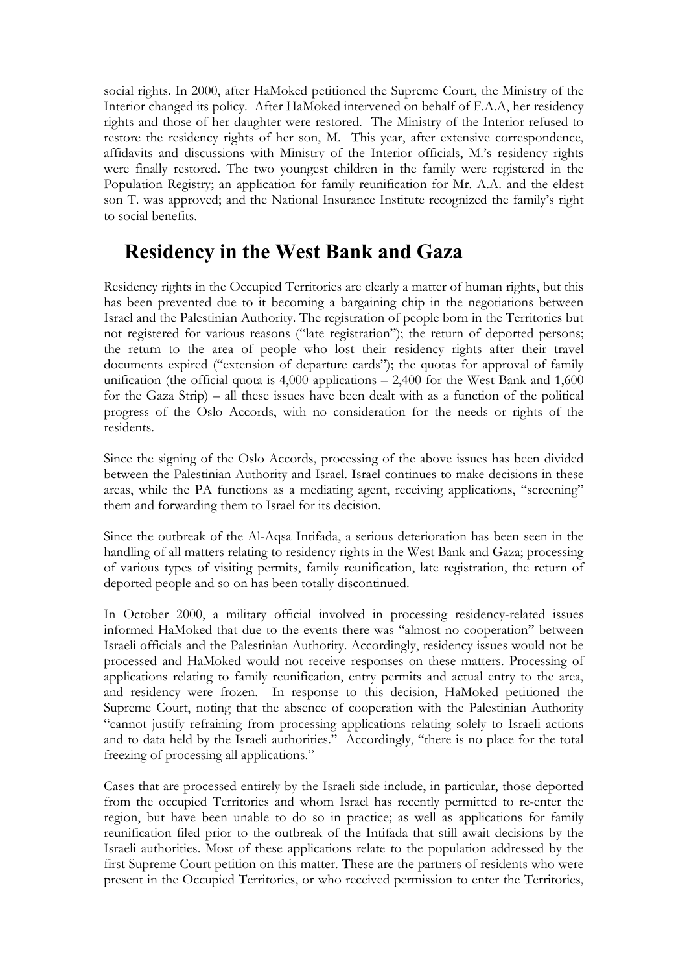social rights. In 2000, after HaMoked petitioned the Supreme Court, the Ministry of the Interior changed its policy. After HaMoked intervened on behalf of F.A.A, her residency rights and those of her daughter were restored. The Ministry of the Interior refused to restore the residency rights of her son, M. This year, after extensive correspondence, affidavits and discussions with Ministry of the Interior officials, M.'s residency rights were finally restored. The two youngest children in the family were registered in the Population Registry; an application for family reunification for Mr. A.A. and the eldest son T. was approved; and the National Insurance Institute recognized the family's right to social benefits.

### **Residency in the West Bank and Gaza**

Residency rights in the Occupied Territories are clearly a matter of human rights, but this has been prevented due to it becoming a bargaining chip in the negotiations between Israel and the Palestinian Authority. The registration of people born in the Territories but not registered for various reasons ("late registration"); the return of deported persons; the return to the area of people who lost their residency rights after their travel documents expired ("extension of departure cards"); the quotas for approval of family unification (the official quota is  $4,000$  applications  $-2,400$  for the West Bank and  $1,600$ for the Gaza Strip) – all these issues have been dealt with as a function of the political progress of the Oslo Accords, with no consideration for the needs or rights of the residents.

Since the signing of the Oslo Accords, processing of the above issues has been divided between the Palestinian Authority and Israel. Israel continues to make decisions in these areas, while the PA functions as a mediating agent, receiving applications, "screening" them and forwarding them to Israel for its decision.

Since the outbreak of the Al-Aqsa Intifada, a serious deterioration has been seen in the handling of all matters relating to residency rights in the West Bank and Gaza; processing of various types of visiting permits, family reunification, late registration, the return of deported people and so on has been totally discontinued.

In October 2000, a military official involved in processing residency-related issues informed HaMoked that due to the events there was "almost no cooperation" between Israeli officials and the Palestinian Authority. Accordingly, residency issues would not be processed and HaMoked would not receive responses on these matters. Processing of applications relating to family reunification, entry permits and actual entry to the area, and residency were frozen. In response to this decision, HaMoked petitioned the Supreme Court, noting that the absence of cooperation with the Palestinian Authority "cannot justify refraining from processing applications relating solely to Israeli actions and to data held by the Israeli authorities." Accordingly, "there is no place for the total freezing of processing all applications."

Cases that are processed entirely by the Israeli side include, in particular, those deported from the occupied Territories and whom Israel has recently permitted to re-enter the region, but have been unable to do so in practice; as well as applications for family reunification filed prior to the outbreak of the Intifada that still await decisions by the Israeli authorities. Most of these applications relate to the population addressed by the first Supreme Court petition on this matter. These are the partners of residents who were present in the Occupied Territories, or who received permission to enter the Territories,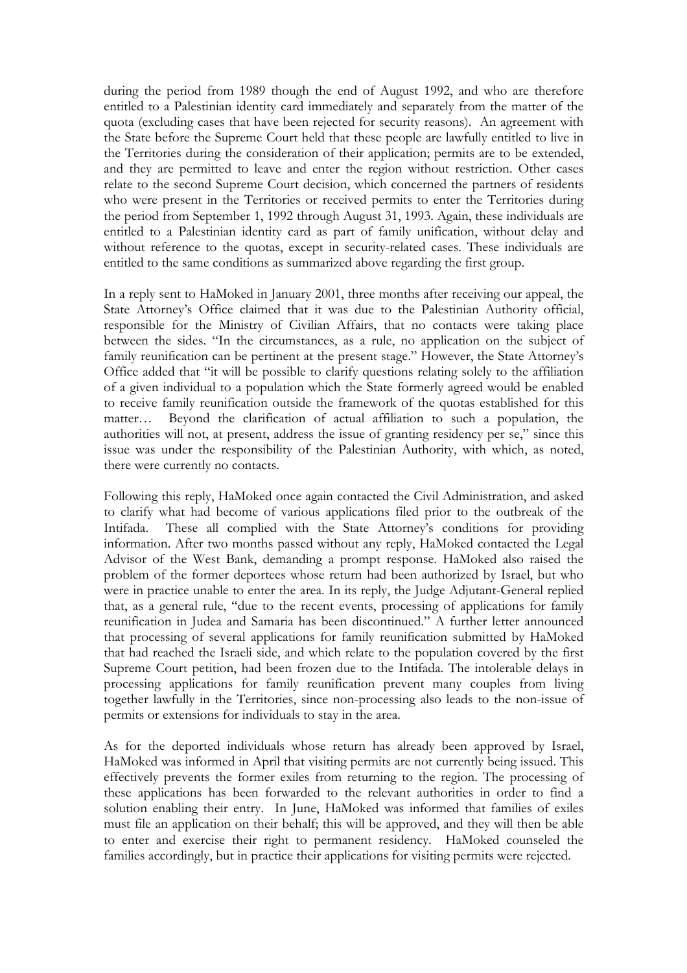during the period from 1989 though the end of August 1992, and who are therefore entitled to a Palestinian identity card immediately and separately from the matter of the quota (excluding cases that have been rejected for security reasons). An agreement with the State before the Supreme Court held that these people are lawfully entitled to live in the Territories during the consideration of their application; permits are to be extended, and they are permitted to leave and enter the region without restriction. Other cases relate to the second Supreme Court decision, which concerned the partners of residents who were present in the Territories or received permits to enter the Territories during the period from September 1, 1992 through August 31, 1993. Again, these individuals are entitled to a Palestinian identity card as part of family unification, without delay and without reference to the quotas, except in security-related cases. These individuals are entitled to the same conditions as summarized above regarding the first group.

In a reply sent to HaMoked in January 2001, three months after receiving our appeal, the State Attorney's Office claimed that it was due to the Palestinian Authority official, responsible for the Ministry of Civilian Affairs, that no contacts were taking place between the sides. "In the circumstances, as a rule, no application on the subject of family reunification can be pertinent at the present stage." However, the State Attorney's Office added that "it will be possible to clarify questions relating solely to the affiliation of a given individual to a population which the State formerly agreed would be enabled to receive family reunification outside the framework of the quotas established for this matter… Beyond the clarification of actual affiliation to such a population, the authorities will not, at present, address the issue of granting residency per se," since this issue was under the responsibility of the Palestinian Authority, with which, as noted, there were currently no contacts.

Following this reply, HaMoked once again contacted the Civil Administration, and asked to clarify what had become of various applications filed prior to the outbreak of the Intifada. These all complied with the State Attorney's conditions for providing information. After two months passed without any reply, HaMoked contacted the Legal Advisor of the West Bank, demanding a prompt response. HaMoked also raised the problem of the former deportees whose return had been authorized by Israel, but who were in practice unable to enter the area. In its reply, the Judge Adjutant-General replied that, as a general rule, "due to the recent events, processing of applications for family reunification in Judea and Samaria has been discontinued." A further letter announced that processing of several applications for family reunification submitted by HaMoked that had reached the Israeli side, and which relate to the population covered by the first Supreme Court petition, had been frozen due to the Intifada. The intolerable delays in processing applications for family reunification prevent many couples from living together lawfully in the Territories, since non-processing also leads to the non-issue of permits or extensions for individuals to stay in the area.

As for the deported individuals whose return has already been approved by Israel, HaMoked was informed in April that visiting permits are not currently being issued. This effectively prevents the former exiles from returning to the region. The processing of these applications has been forwarded to the relevant authorities in order to find a solution enabling their entry. In June, HaMoked was informed that families of exiles must file an application on their behalf; this will be approved, and they will then be able to enter and exercise their right to permanent residency. HaMoked counseled the families accordingly, but in practice their applications for visiting permits were rejected.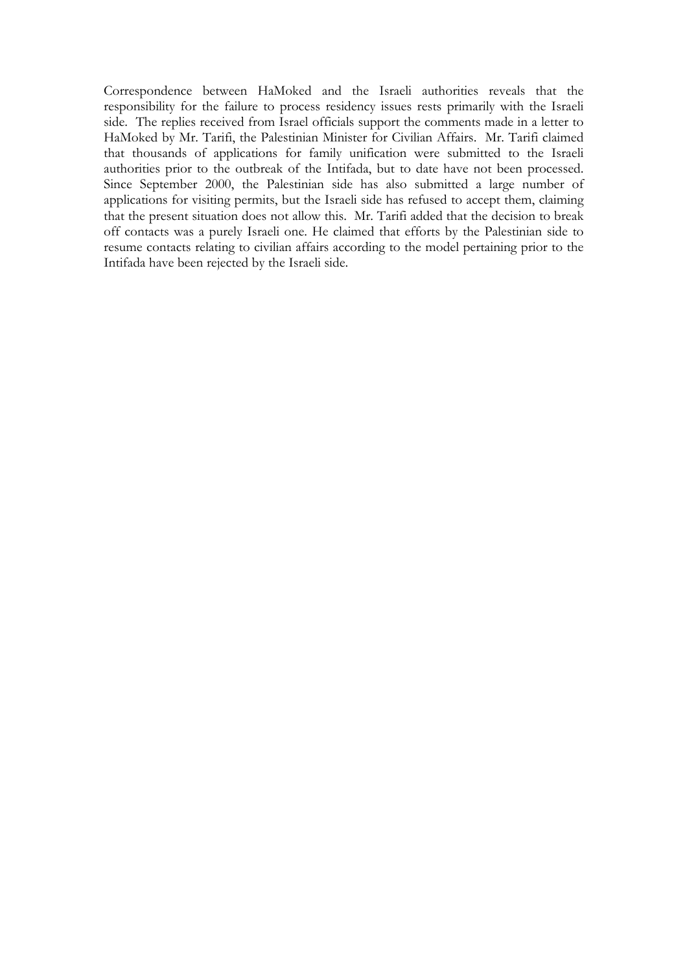Correspondence between HaMoked and the Israeli authorities reveals that the responsibility for the failure to process residency issues rests primarily with the Israeli side. The replies received from Israel officials support the comments made in a letter to HaMoked by Mr. Tarifi, the Palestinian Minister for Civilian Affairs. Mr. Tarifi claimed that thousands of applications for family unification were submitted to the Israeli authorities prior to the outbreak of the Intifada, but to date have not been processed. Since September 2000, the Palestinian side has also submitted a large number of applications for visiting permits, but the Israeli side has refused to accept them, claiming that the present situation does not allow this. Mr. Tarifi added that the decision to break off contacts was a purely Israeli one. He claimed that efforts by the Palestinian side to resume contacts relating to civilian affairs according to the model pertaining prior to the Intifada have been rejected by the Israeli side.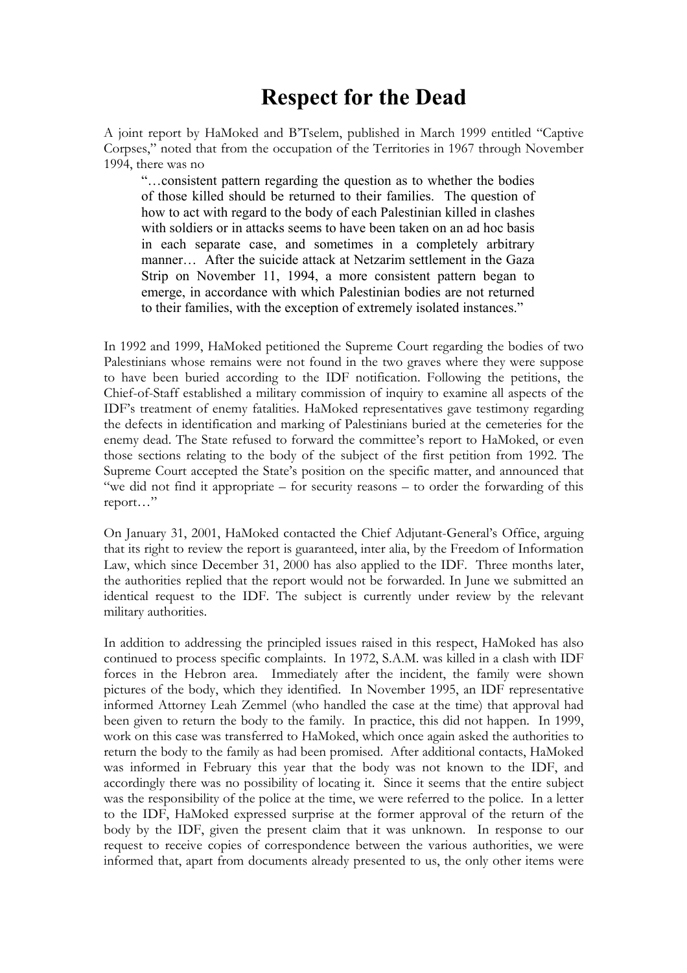## **Respect for the Dead**

A joint report by HaMoked and B'Tselem, published in March 1999 entitled "Captive Corpses," noted that from the occupation of the Territories in 1967 through November 1994, there was no

"…consistent pattern regarding the question as to whether the bodies of those killed should be returned to their families. The question of how to act with regard to the body of each Palestinian killed in clashes with soldiers or in attacks seems to have been taken on an ad hoc basis in each separate case, and sometimes in a completely arbitrary manner… After the suicide attack at Netzarim settlement in the Gaza Strip on November 11, 1994, a more consistent pattern began to emerge, in accordance with which Palestinian bodies are not returned to their families, with the exception of extremely isolated instances."

In 1992 and 1999, HaMoked petitioned the Supreme Court regarding the bodies of two Palestinians whose remains were not found in the two graves where they were suppose to have been buried according to the IDF notification. Following the petitions, the Chief-of-Staff established a military commission of inquiry to examine all aspects of the IDF's treatment of enemy fatalities. HaMoked representatives gave testimony regarding the defects in identification and marking of Palestinians buried at the cemeteries for the enemy dead. The State refused to forward the committee's report to HaMoked, or even those sections relating to the body of the subject of the first petition from 1992. The Supreme Court accepted the State's position on the specific matter, and announced that "we did not find it appropriate – for security reasons – to order the forwarding of this report…"

On January 31, 2001, HaMoked contacted the Chief Adjutant-General's Office, arguing that its right to review the report is guaranteed, inter alia, by the Freedom of Information Law, which since December 31, 2000 has also applied to the IDF. Three months later, the authorities replied that the report would not be forwarded. In June we submitted an identical request to the IDF. The subject is currently under review by the relevant military authorities.

In addition to addressing the principled issues raised in this respect, HaMoked has also continued to process specific complaints. In 1972, S.A.M. was killed in a clash with IDF forces in the Hebron area. Immediately after the incident, the family were shown pictures of the body, which they identified. In November 1995, an IDF representative informed Attorney Leah Zemmel (who handled the case at the time) that approval had been given to return the body to the family. In practice, this did not happen. In 1999, work on this case was transferred to HaMoked, which once again asked the authorities to return the body to the family as had been promised. After additional contacts, HaMoked was informed in February this year that the body was not known to the IDF, and accordingly there was no possibility of locating it. Since it seems that the entire subject was the responsibility of the police at the time, we were referred to the police. In a letter to the IDF, HaMoked expressed surprise at the former approval of the return of the body by the IDF, given the present claim that it was unknown. In response to our request to receive copies of correspondence between the various authorities, we were informed that, apart from documents already presented to us, the only other items were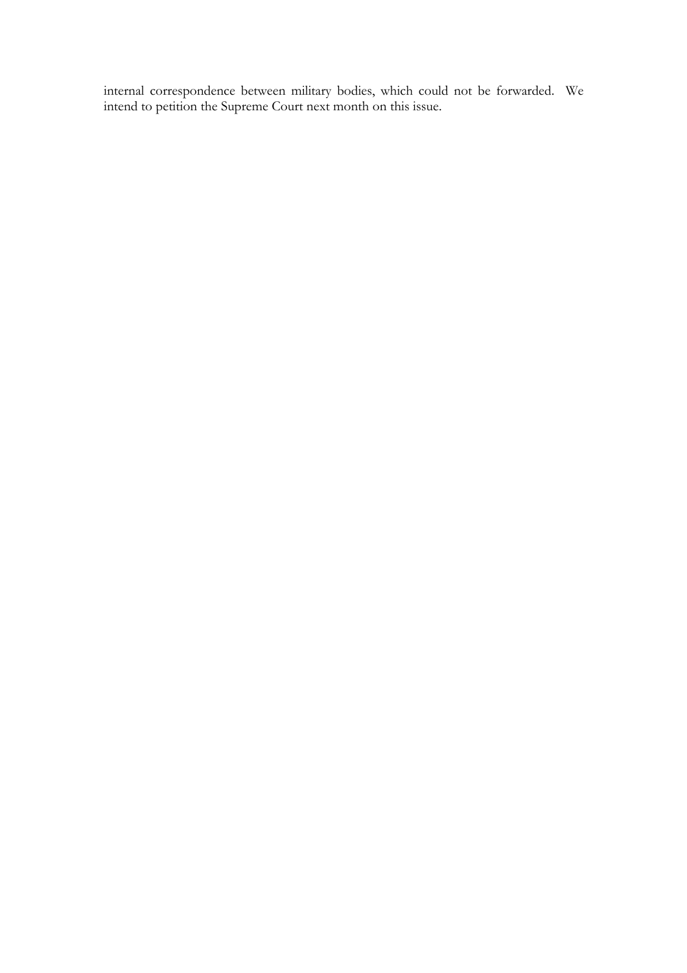internal correspondence between military bodies, which could not be forwarded. We intend to petition the Supreme Court next month on this issue.